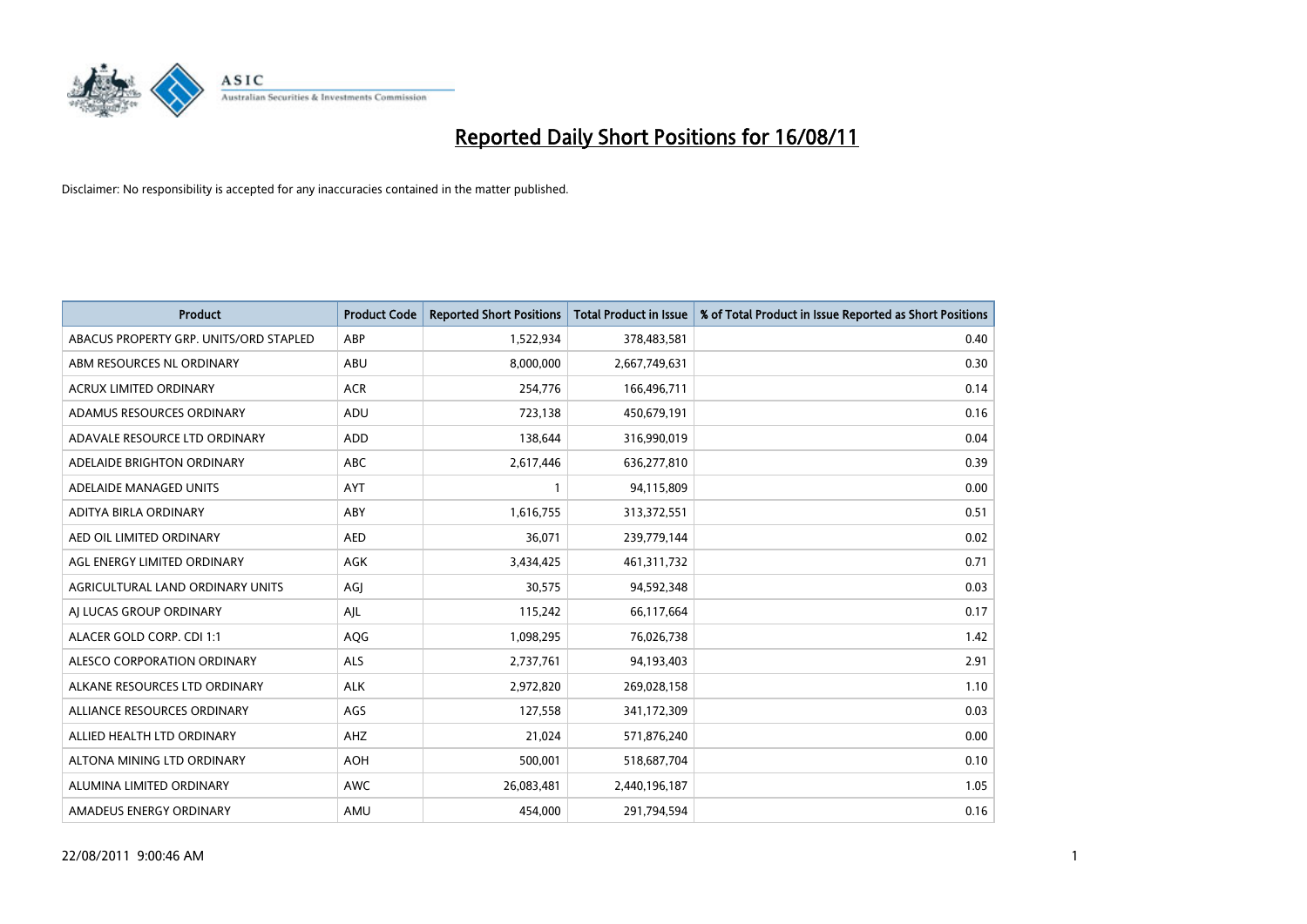

| <b>Product</b>                         | <b>Product Code</b> | <b>Reported Short Positions</b> | <b>Total Product in Issue</b> | % of Total Product in Issue Reported as Short Positions |
|----------------------------------------|---------------------|---------------------------------|-------------------------------|---------------------------------------------------------|
| ABACUS PROPERTY GRP. UNITS/ORD STAPLED | ABP                 | 1,522,934                       | 378,483,581                   | 0.40                                                    |
| ABM RESOURCES NL ORDINARY              | <b>ABU</b>          | 8,000,000                       | 2,667,749,631                 | 0.30                                                    |
| <b>ACRUX LIMITED ORDINARY</b>          | <b>ACR</b>          | 254,776                         | 166,496,711                   | 0.14                                                    |
| ADAMUS RESOURCES ORDINARY              | ADU                 | 723,138                         | 450,679,191                   | 0.16                                                    |
| ADAVALE RESOURCE LTD ORDINARY          | <b>ADD</b>          | 138,644                         | 316,990,019                   | 0.04                                                    |
| ADELAIDE BRIGHTON ORDINARY             | <b>ABC</b>          | 2,617,446                       | 636,277,810                   | 0.39                                                    |
| ADELAIDE MANAGED UNITS                 | <b>AYT</b>          |                                 | 94,115,809                    | 0.00                                                    |
| ADITYA BIRLA ORDINARY                  | ABY                 | 1,616,755                       | 313,372,551                   | 0.51                                                    |
| AED OIL LIMITED ORDINARY               | <b>AED</b>          | 36,071                          | 239,779,144                   | 0.02                                                    |
| AGL ENERGY LIMITED ORDINARY            | <b>AGK</b>          | 3,434,425                       | 461,311,732                   | 0.71                                                    |
| AGRICULTURAL LAND ORDINARY UNITS       | AGI                 | 30,575                          | 94,592,348                    | 0.03                                                    |
| AI LUCAS GROUP ORDINARY                | AJL                 | 115,242                         | 66,117,664                    | 0.17                                                    |
| ALACER GOLD CORP. CDI 1:1              | AQG                 | 1,098,295                       | 76,026,738                    | 1.42                                                    |
| ALESCO CORPORATION ORDINARY            | ALS                 | 2,737,761                       | 94,193,403                    | 2.91                                                    |
| ALKANE RESOURCES LTD ORDINARY          | <b>ALK</b>          | 2,972,820                       | 269,028,158                   | 1.10                                                    |
| ALLIANCE RESOURCES ORDINARY            | AGS                 | 127,558                         | 341,172,309                   | 0.03                                                    |
| ALLIED HEALTH LTD ORDINARY             | <b>AHZ</b>          | 21,024                          | 571,876,240                   | 0.00                                                    |
| ALTONA MINING LTD ORDINARY             | <b>AOH</b>          | 500,001                         | 518,687,704                   | 0.10                                                    |
| ALUMINA LIMITED ORDINARY               | <b>AWC</b>          | 26,083,481                      | 2,440,196,187                 | 1.05                                                    |
| AMADEUS ENERGY ORDINARY                | AMU                 | 454,000                         | 291,794,594                   | 0.16                                                    |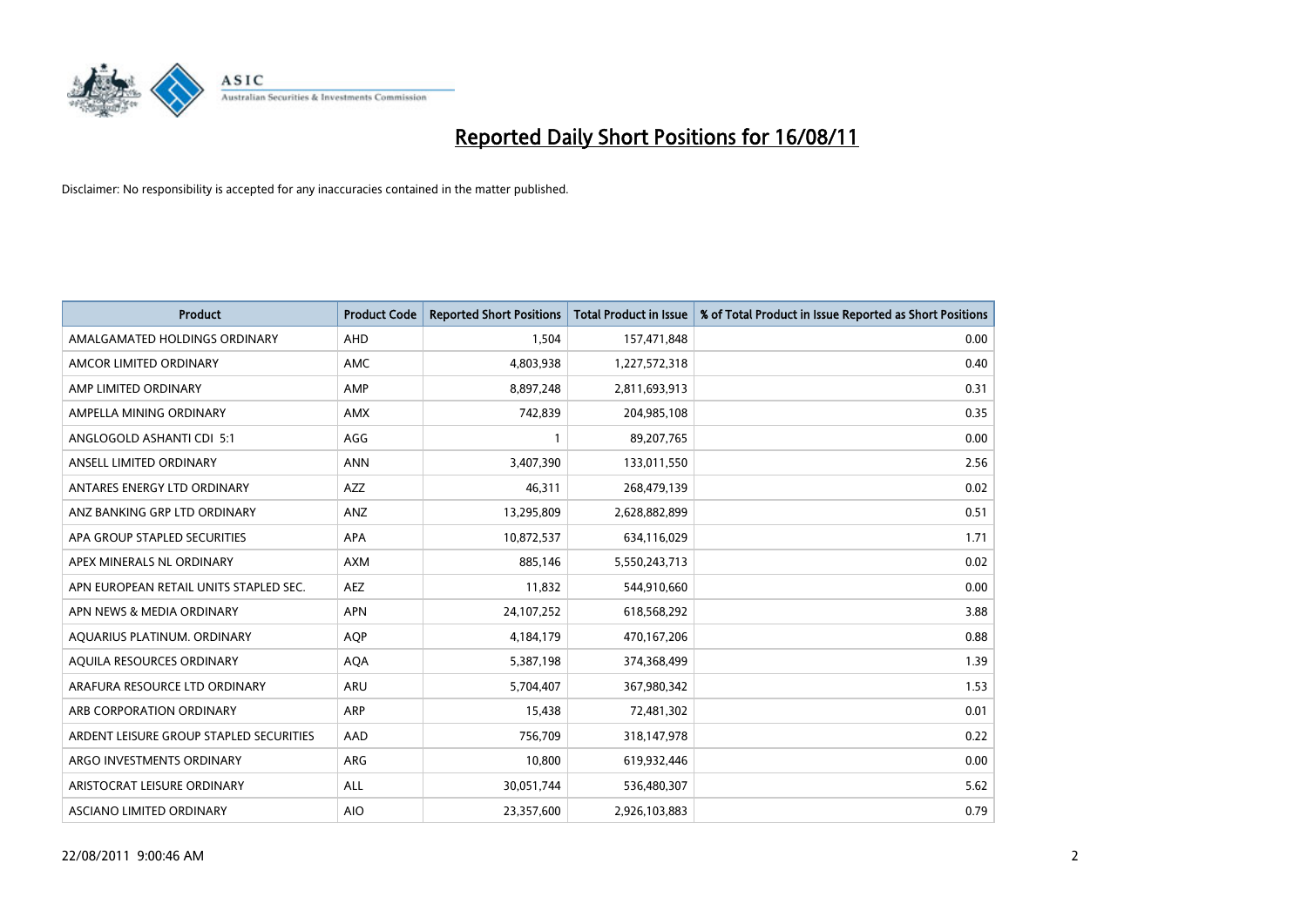

| <b>Product</b>                          | <b>Product Code</b> | <b>Reported Short Positions</b> | <b>Total Product in Issue</b> | % of Total Product in Issue Reported as Short Positions |
|-----------------------------------------|---------------------|---------------------------------|-------------------------------|---------------------------------------------------------|
| AMALGAMATED HOLDINGS ORDINARY           | AHD                 | 1,504                           | 157,471,848                   | 0.00                                                    |
| AMCOR LIMITED ORDINARY                  | <b>AMC</b>          | 4,803,938                       | 1,227,572,318                 | 0.40                                                    |
| AMP LIMITED ORDINARY                    | AMP                 | 8,897,248                       | 2,811,693,913                 | 0.31                                                    |
| AMPELLA MINING ORDINARY                 | <b>AMX</b>          | 742,839                         | 204,985,108                   | 0.35                                                    |
| ANGLOGOLD ASHANTI CDI 5:1               | AGG                 |                                 | 89,207,765                    | 0.00                                                    |
| ANSELL LIMITED ORDINARY                 | <b>ANN</b>          | 3,407,390                       | 133,011,550                   | 2.56                                                    |
| ANTARES ENERGY LTD ORDINARY             | <b>AZZ</b>          | 46,311                          | 268,479,139                   | 0.02                                                    |
| ANZ BANKING GRP LTD ORDINARY            | ANZ                 | 13,295,809                      | 2,628,882,899                 | 0.51                                                    |
| APA GROUP STAPLED SECURITIES            | APA                 | 10,872,537                      | 634,116,029                   | 1.71                                                    |
| APEX MINERALS NL ORDINARY               | <b>AXM</b>          | 885.146                         | 5,550,243,713                 | 0.02                                                    |
| APN EUROPEAN RETAIL UNITS STAPLED SEC.  | <b>AEZ</b>          | 11,832                          | 544,910,660                   | 0.00                                                    |
| APN NEWS & MEDIA ORDINARY               | <b>APN</b>          | 24,107,252                      | 618,568,292                   | 3.88                                                    |
| AQUARIUS PLATINUM. ORDINARY             | <b>AOP</b>          | 4,184,179                       | 470,167,206                   | 0.88                                                    |
| AQUILA RESOURCES ORDINARY               | <b>AQA</b>          | 5,387,198                       | 374,368,499                   | 1.39                                                    |
| ARAFURA RESOURCE LTD ORDINARY           | ARU                 | 5,704,407                       | 367,980,342                   | 1.53                                                    |
| ARB CORPORATION ORDINARY                | <b>ARP</b>          | 15,438                          | 72,481,302                    | 0.01                                                    |
| ARDENT LEISURE GROUP STAPLED SECURITIES | AAD                 | 756,709                         | 318,147,978                   | 0.22                                                    |
| ARGO INVESTMENTS ORDINARY               | ARG                 | 10,800                          | 619,932,446                   | 0.00                                                    |
| ARISTOCRAT LEISURE ORDINARY             | ALL                 | 30,051,744                      | 536,480,307                   | 5.62                                                    |
| ASCIANO LIMITED ORDINARY                | <b>AIO</b>          | 23,357,600                      | 2,926,103,883                 | 0.79                                                    |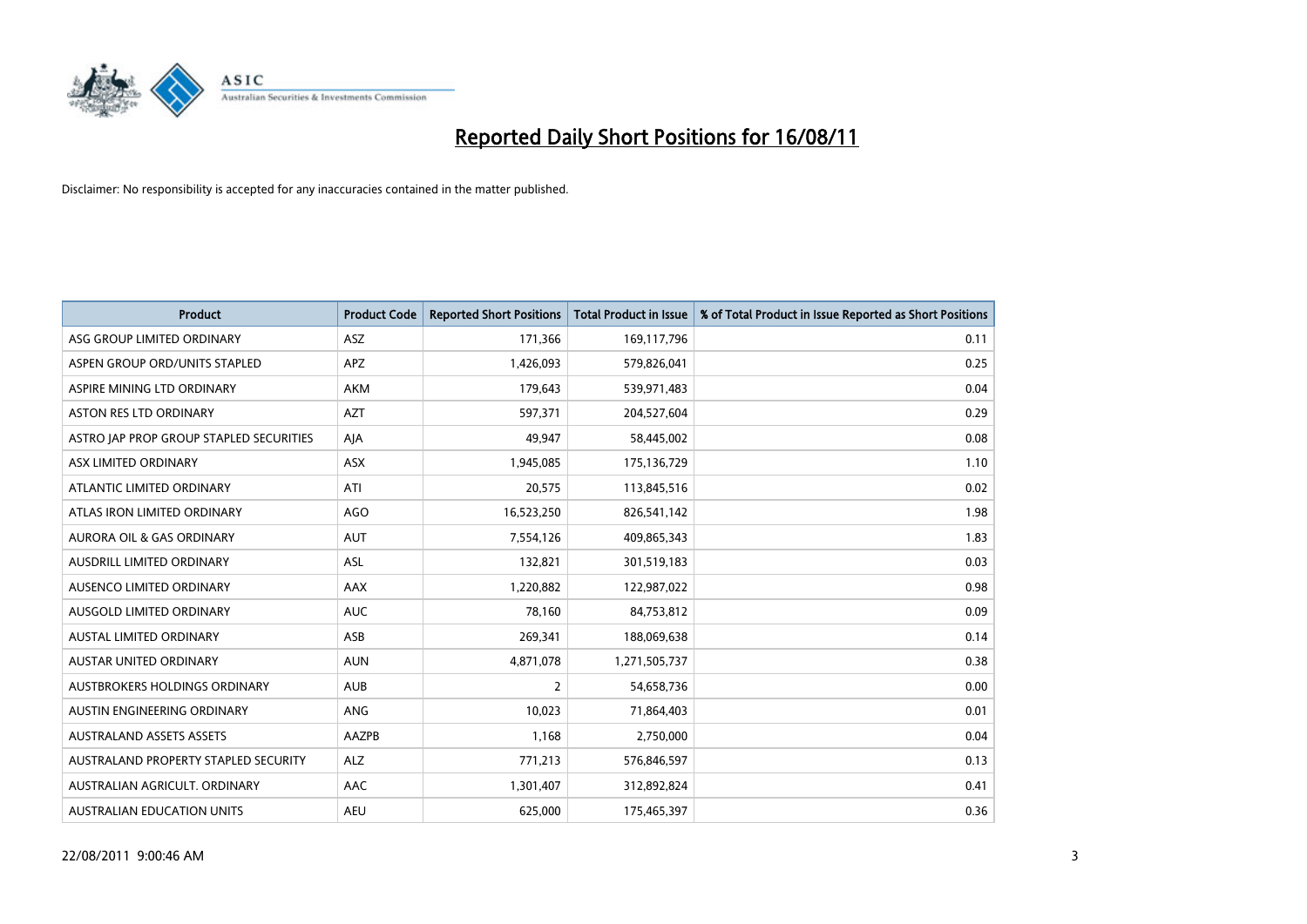

| <b>Product</b>                          | <b>Product Code</b> | <b>Reported Short Positions</b> | Total Product in Issue | % of Total Product in Issue Reported as Short Positions |
|-----------------------------------------|---------------------|---------------------------------|------------------------|---------------------------------------------------------|
| ASG GROUP LIMITED ORDINARY              | <b>ASZ</b>          | 171,366                         | 169,117,796            | 0.11                                                    |
| ASPEN GROUP ORD/UNITS STAPLED           | <b>APZ</b>          | 1,426,093                       | 579,826,041            | 0.25                                                    |
| ASPIRE MINING LTD ORDINARY              | <b>AKM</b>          | 179,643                         | 539,971,483            | 0.04                                                    |
| ASTON RES LTD ORDINARY                  | <b>AZT</b>          | 597,371                         | 204,527,604            | 0.29                                                    |
| ASTRO JAP PROP GROUP STAPLED SECURITIES | AJA                 | 49,947                          | 58,445,002             | 0.08                                                    |
| ASX LIMITED ORDINARY                    | ASX                 | 1,945,085                       | 175,136,729            | 1.10                                                    |
| ATLANTIC LIMITED ORDINARY               | ATI                 | 20,575                          | 113,845,516            | 0.02                                                    |
| ATLAS IRON LIMITED ORDINARY             | <b>AGO</b>          | 16,523,250                      | 826,541,142            | 1.98                                                    |
| AURORA OIL & GAS ORDINARY               | <b>AUT</b>          | 7,554,126                       | 409,865,343            | 1.83                                                    |
| AUSDRILL LIMITED ORDINARY               | <b>ASL</b>          | 132,821                         | 301,519,183            | 0.03                                                    |
| AUSENCO LIMITED ORDINARY                | <b>AAX</b>          | 1,220,882                       | 122,987,022            | 0.98                                                    |
| AUSGOLD LIMITED ORDINARY                | <b>AUC</b>          | 78,160                          | 84,753,812             | 0.09                                                    |
| AUSTAL LIMITED ORDINARY                 | ASB                 | 269,341                         | 188,069,638            | 0.14                                                    |
| <b>AUSTAR UNITED ORDINARY</b>           | <b>AUN</b>          | 4,871,078                       | 1,271,505,737          | 0.38                                                    |
| <b>AUSTBROKERS HOLDINGS ORDINARY</b>    | <b>AUB</b>          | $\overline{2}$                  | 54,658,736             | 0.00                                                    |
| AUSTIN ENGINEERING ORDINARY             | ANG                 | 10,023                          | 71,864,403             | 0.01                                                    |
| <b>AUSTRALAND ASSETS ASSETS</b>         | AAZPB               | 1,168                           | 2,750,000              | 0.04                                                    |
| AUSTRALAND PROPERTY STAPLED SECURITY    | <b>ALZ</b>          | 771,213                         | 576,846,597            | 0.13                                                    |
| AUSTRALIAN AGRICULT, ORDINARY           | AAC                 | 1,301,407                       | 312,892,824            | 0.41                                                    |
| AUSTRALIAN EDUCATION UNITS              | <b>AEU</b>          | 625.000                         | 175,465,397            | 0.36                                                    |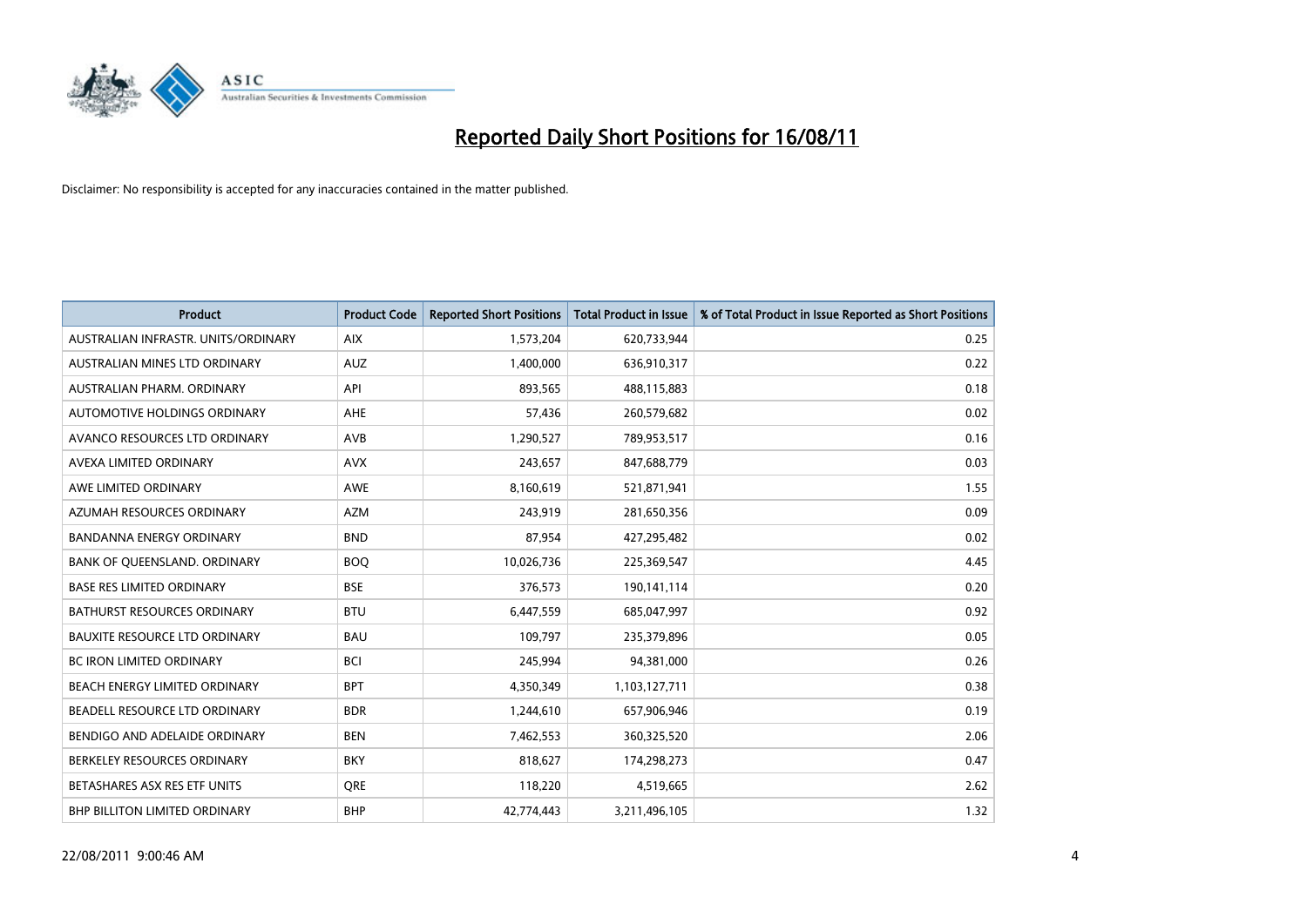

| <b>Product</b>                       | <b>Product Code</b> | <b>Reported Short Positions</b> | <b>Total Product in Issue</b> | % of Total Product in Issue Reported as Short Positions |
|--------------------------------------|---------------------|---------------------------------|-------------------------------|---------------------------------------------------------|
| AUSTRALIAN INFRASTR, UNITS/ORDINARY  | <b>AIX</b>          | 1,573,204                       | 620,733,944                   | 0.25                                                    |
| AUSTRALIAN MINES LTD ORDINARY        | <b>AUZ</b>          | 1,400,000                       | 636,910,317                   | 0.22                                                    |
| AUSTRALIAN PHARM, ORDINARY           | API                 | 893,565                         | 488,115,883                   | 0.18                                                    |
| AUTOMOTIVE HOLDINGS ORDINARY         | <b>AHE</b>          | 57,436                          | 260,579,682                   | 0.02                                                    |
| AVANCO RESOURCES LTD ORDINARY        | <b>AVB</b>          | 1,290,527                       | 789,953,517                   | 0.16                                                    |
| AVEXA LIMITED ORDINARY               | <b>AVX</b>          | 243,657                         | 847,688,779                   | 0.03                                                    |
| AWE LIMITED ORDINARY                 | <b>AWE</b>          | 8,160,619                       | 521,871,941                   | 1.55                                                    |
| AZUMAH RESOURCES ORDINARY            | <b>AZM</b>          | 243,919                         | 281,650,356                   | 0.09                                                    |
| <b>BANDANNA ENERGY ORDINARY</b>      | <b>BND</b>          | 87,954                          | 427,295,482                   | 0.02                                                    |
| BANK OF QUEENSLAND. ORDINARY         | <b>BOQ</b>          | 10,026,736                      | 225,369,547                   | 4.45                                                    |
| <b>BASE RES LIMITED ORDINARY</b>     | <b>BSE</b>          | 376,573                         | 190,141,114                   | 0.20                                                    |
| <b>BATHURST RESOURCES ORDINARY</b>   | <b>BTU</b>          | 6,447,559                       | 685,047,997                   | 0.92                                                    |
| <b>BAUXITE RESOURCE LTD ORDINARY</b> | <b>BAU</b>          | 109,797                         | 235,379,896                   | 0.05                                                    |
| <b>BC IRON LIMITED ORDINARY</b>      | <b>BCI</b>          | 245,994                         | 94,381,000                    | 0.26                                                    |
| BEACH ENERGY LIMITED ORDINARY        | <b>BPT</b>          | 4,350,349                       | 1,103,127,711                 | 0.38                                                    |
| BEADELL RESOURCE LTD ORDINARY        | <b>BDR</b>          | 1,244,610                       | 657,906,946                   | 0.19                                                    |
| BENDIGO AND ADELAIDE ORDINARY        | <b>BEN</b>          | 7,462,553                       | 360,325,520                   | 2.06                                                    |
| BERKELEY RESOURCES ORDINARY          | <b>BKY</b>          | 818,627                         | 174,298,273                   | 0.47                                                    |
| BETASHARES ASX RES ETF UNITS         | <b>ORE</b>          | 118,220                         | 4,519,665                     | 2.62                                                    |
| BHP BILLITON LIMITED ORDINARY        | <b>BHP</b>          | 42,774,443                      | 3,211,496,105                 | 1.32                                                    |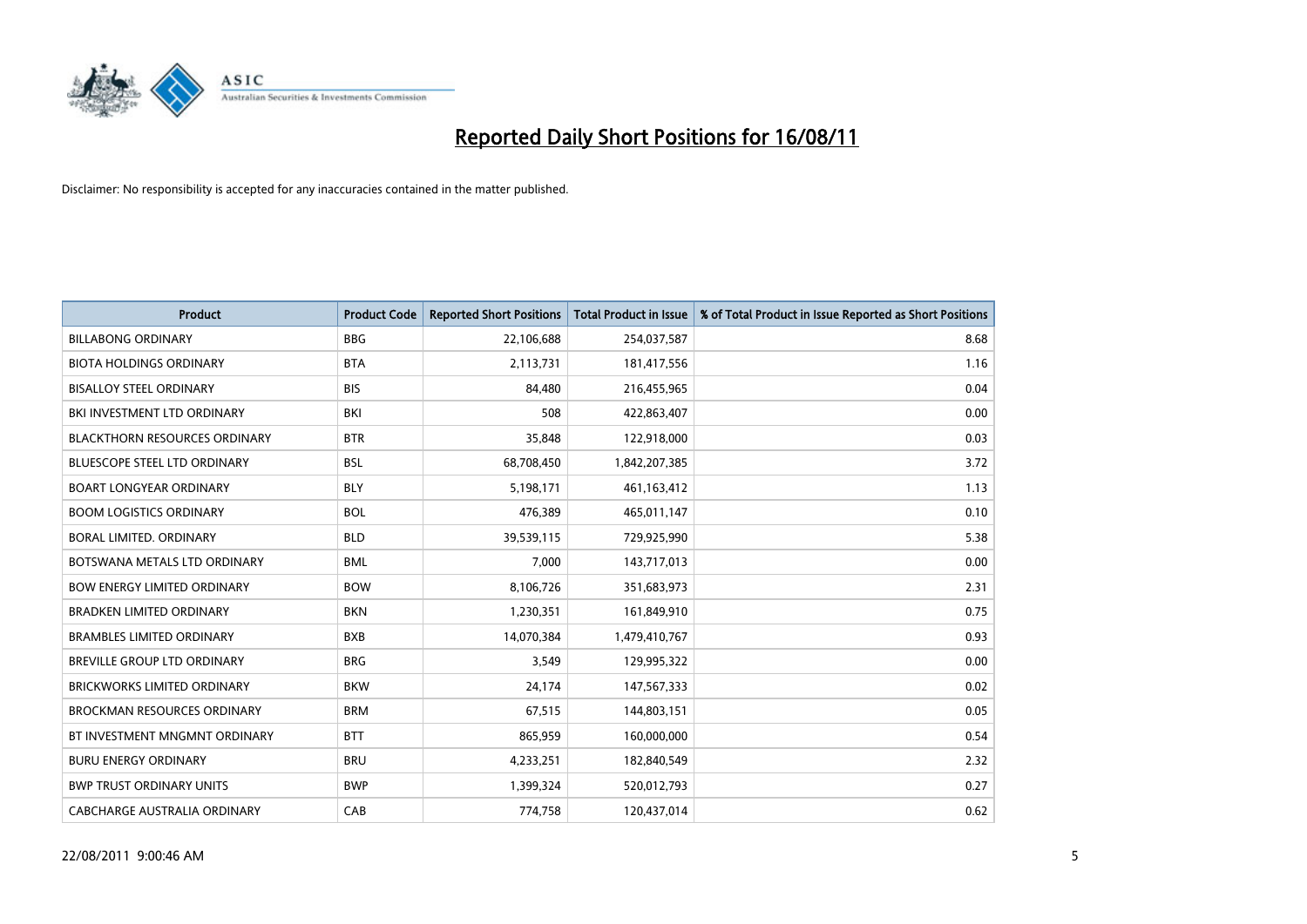

| <b>Product</b>                       | <b>Product Code</b> | <b>Reported Short Positions</b> | <b>Total Product in Issue</b> | % of Total Product in Issue Reported as Short Positions |
|--------------------------------------|---------------------|---------------------------------|-------------------------------|---------------------------------------------------------|
| <b>BILLABONG ORDINARY</b>            | <b>BBG</b>          | 22,106,688                      | 254,037,587                   | 8.68                                                    |
| <b>BIOTA HOLDINGS ORDINARY</b>       | <b>BTA</b>          | 2,113,731                       | 181,417,556                   | 1.16                                                    |
| <b>BISALLOY STEEL ORDINARY</b>       | <b>BIS</b>          | 84.480                          | 216,455,965                   | 0.04                                                    |
| BKI INVESTMENT LTD ORDINARY          | BKI                 | 508                             | 422,863,407                   | 0.00                                                    |
| <b>BLACKTHORN RESOURCES ORDINARY</b> | <b>BTR</b>          | 35,848                          | 122,918,000                   | 0.03                                                    |
| <b>BLUESCOPE STEEL LTD ORDINARY</b>  | <b>BSL</b>          | 68,708,450                      | 1,842,207,385                 | 3.72                                                    |
| <b>BOART LONGYEAR ORDINARY</b>       | <b>BLY</b>          | 5,198,171                       | 461,163,412                   | 1.13                                                    |
| <b>BOOM LOGISTICS ORDINARY</b>       | <b>BOL</b>          | 476,389                         | 465,011,147                   | 0.10                                                    |
| BORAL LIMITED, ORDINARY              | <b>BLD</b>          | 39,539,115                      | 729,925,990                   | 5.38                                                    |
| BOTSWANA METALS LTD ORDINARY         | <b>BML</b>          | 7,000                           | 143,717,013                   | 0.00                                                    |
| BOW ENERGY LIMITED ORDINARY          | <b>BOW</b>          | 8,106,726                       | 351,683,973                   | 2.31                                                    |
| <b>BRADKEN LIMITED ORDINARY</b>      | <b>BKN</b>          | 1,230,351                       | 161,849,910                   | 0.75                                                    |
| <b>BRAMBLES LIMITED ORDINARY</b>     | <b>BXB</b>          | 14,070,384                      | 1,479,410,767                 | 0.93                                                    |
| <b>BREVILLE GROUP LTD ORDINARY</b>   | <b>BRG</b>          | 3,549                           | 129,995,322                   | 0.00                                                    |
| <b>BRICKWORKS LIMITED ORDINARY</b>   | <b>BKW</b>          | 24,174                          | 147,567,333                   | 0.02                                                    |
| <b>BROCKMAN RESOURCES ORDINARY</b>   | <b>BRM</b>          | 67,515                          | 144,803,151                   | 0.05                                                    |
| BT INVESTMENT MNGMNT ORDINARY        | <b>BTT</b>          | 865,959                         | 160,000,000                   | 0.54                                                    |
| <b>BURU ENERGY ORDINARY</b>          | <b>BRU</b>          | 4,233,251                       | 182,840,549                   | 2.32                                                    |
| <b>BWP TRUST ORDINARY UNITS</b>      | <b>BWP</b>          | 1,399,324                       | 520,012,793                   | 0.27                                                    |
| CABCHARGE AUSTRALIA ORDINARY         | CAB                 | 774,758                         | 120,437,014                   | 0.62                                                    |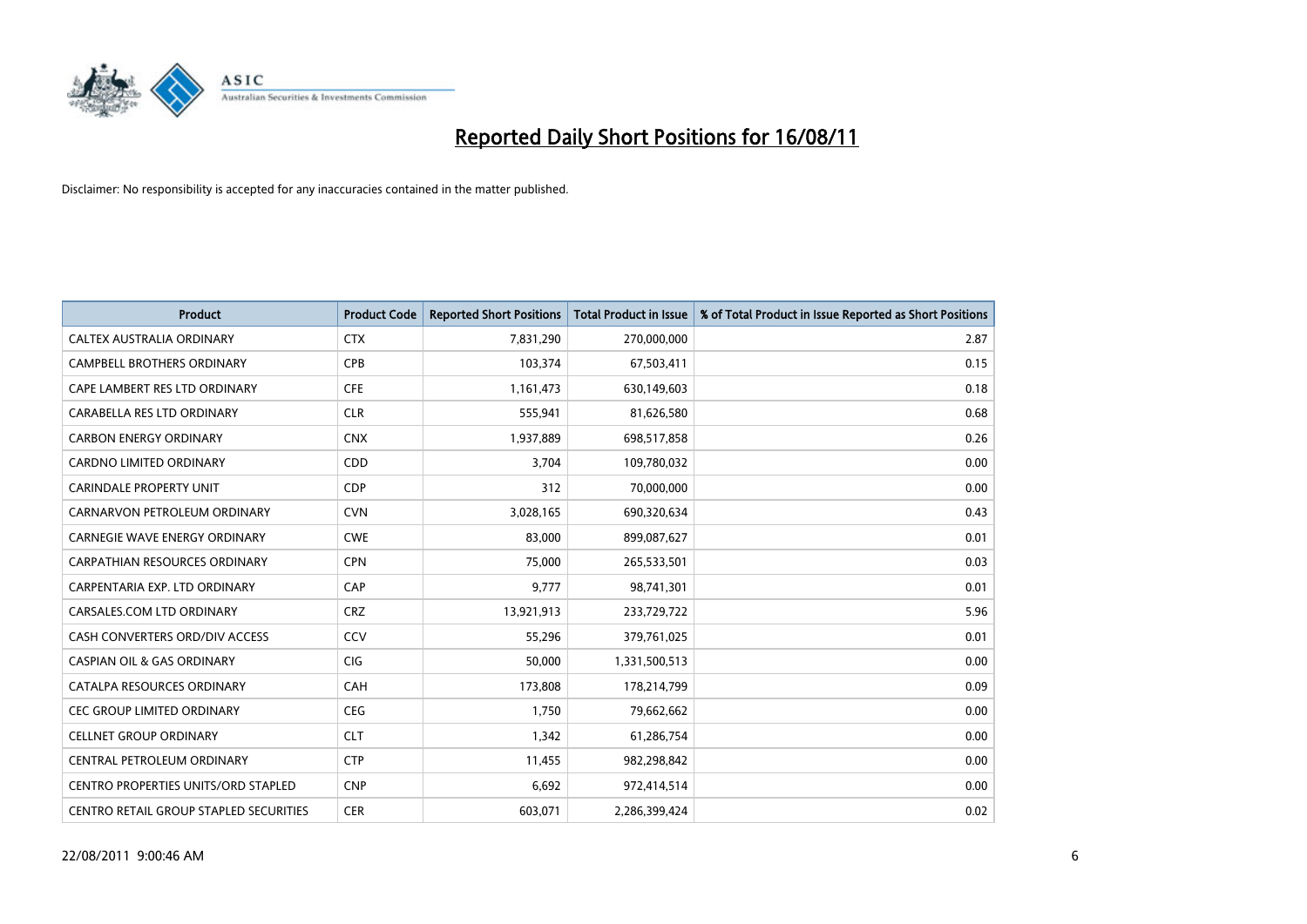

| <b>Product</b>                             | <b>Product Code</b> | <b>Reported Short Positions</b> | <b>Total Product in Issue</b> | % of Total Product in Issue Reported as Short Positions |
|--------------------------------------------|---------------------|---------------------------------|-------------------------------|---------------------------------------------------------|
| CALTEX AUSTRALIA ORDINARY                  | <b>CTX</b>          | 7,831,290                       | 270,000,000                   | 2.87                                                    |
| CAMPBELL BROTHERS ORDINARY                 | <b>CPB</b>          | 103,374                         | 67,503,411                    | 0.15                                                    |
| CAPE LAMBERT RES LTD ORDINARY              | <b>CFE</b>          | 1,161,473                       | 630,149,603                   | 0.18                                                    |
| CARABELLA RES LTD ORDINARY                 | <b>CLR</b>          | 555,941                         | 81,626,580                    | 0.68                                                    |
| <b>CARBON ENERGY ORDINARY</b>              | <b>CNX</b>          | 1,937,889                       | 698,517,858                   | 0.26                                                    |
| <b>CARDNO LIMITED ORDINARY</b>             | CDD                 | 3.704                           | 109,780,032                   | 0.00                                                    |
| <b>CARINDALE PROPERTY UNIT</b>             | <b>CDP</b>          | 312                             | 70,000,000                    | 0.00                                                    |
| CARNARVON PETROLEUM ORDINARY               | <b>CVN</b>          | 3,028,165                       | 690,320,634                   | 0.43                                                    |
| CARNEGIE WAVE ENERGY ORDINARY              | <b>CWE</b>          | 83,000                          | 899,087,627                   | 0.01                                                    |
| <b>CARPATHIAN RESOURCES ORDINARY</b>       | <b>CPN</b>          | 75,000                          | 265,533,501                   | 0.03                                                    |
| CARPENTARIA EXP. LTD ORDINARY              | CAP                 | 9,777                           | 98,741,301                    | 0.01                                                    |
| CARSALES.COM LTD ORDINARY                  | <b>CRZ</b>          | 13,921,913                      | 233,729,722                   | 5.96                                                    |
| CASH CONVERTERS ORD/DIV ACCESS             | CCV                 | 55,296                          | 379,761,025                   | 0.01                                                    |
| <b>CASPIAN OIL &amp; GAS ORDINARY</b>      | <b>CIG</b>          | 50,000                          | 1,331,500,513                 | 0.00                                                    |
| CATALPA RESOURCES ORDINARY                 | CAH                 | 173,808                         | 178,214,799                   | 0.09                                                    |
| CEC GROUP LIMITED ORDINARY                 | <b>CEG</b>          | 1.750                           | 79,662,662                    | 0.00                                                    |
| <b>CELLNET GROUP ORDINARY</b>              | <b>CLT</b>          | 1,342                           | 61,286,754                    | 0.00                                                    |
| CENTRAL PETROLEUM ORDINARY                 | <b>CTP</b>          | 11,455                          | 982,298,842                   | 0.00                                                    |
| <b>CENTRO PROPERTIES UNITS/ORD STAPLED</b> | <b>CNP</b>          | 6,692                           | 972,414,514                   | 0.00                                                    |
| CENTRO RETAIL GROUP STAPLED SECURITIES     | <b>CER</b>          | 603,071                         | 2,286,399,424                 | 0.02                                                    |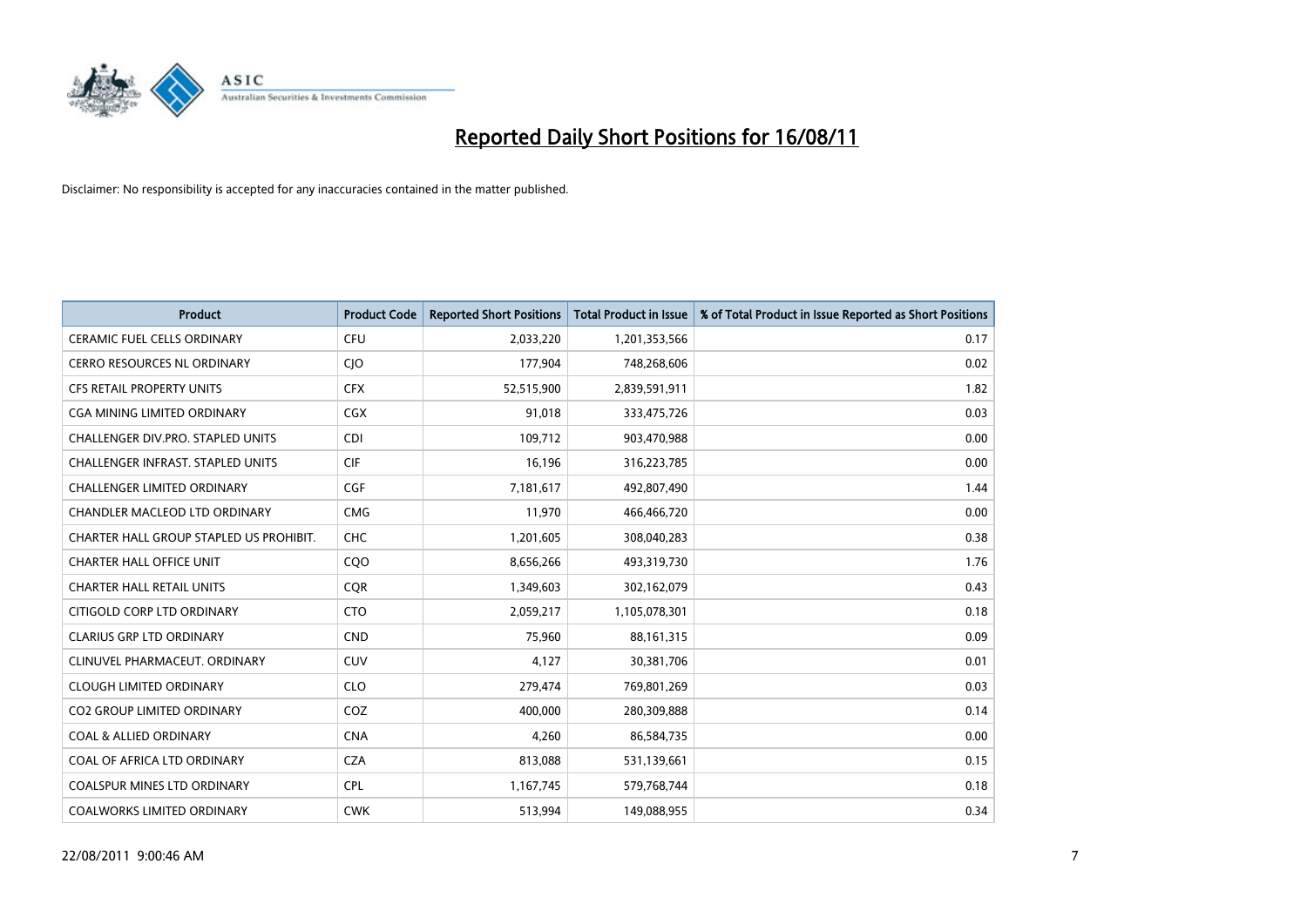

| <b>Product</b>                           | <b>Product Code</b> | <b>Reported Short Positions</b> | <b>Total Product in Issue</b> | % of Total Product in Issue Reported as Short Positions |
|------------------------------------------|---------------------|---------------------------------|-------------------------------|---------------------------------------------------------|
| <b>CERAMIC FUEL CELLS ORDINARY</b>       | <b>CFU</b>          | 2,033,220                       | 1,201,353,566                 | 0.17                                                    |
| CERRO RESOURCES NL ORDINARY              | <b>CIO</b>          | 177,904                         | 748,268,606                   | 0.02                                                    |
| <b>CFS RETAIL PROPERTY UNITS</b>         | <b>CFX</b>          | 52,515,900                      | 2,839,591,911                 | 1.82                                                    |
| CGA MINING LIMITED ORDINARY              | <b>CGX</b>          | 91,018                          | 333,475,726                   | 0.03                                                    |
| CHALLENGER DIV.PRO. STAPLED UNITS        | <b>CDI</b>          | 109,712                         | 903,470,988                   | 0.00                                                    |
| <b>CHALLENGER INFRAST, STAPLED UNITS</b> | <b>CIF</b>          | 16,196                          | 316,223,785                   | 0.00                                                    |
| <b>CHALLENGER LIMITED ORDINARY</b>       | <b>CGF</b>          | 7,181,617                       | 492,807,490                   | 1.44                                                    |
| CHANDLER MACLEOD LTD ORDINARY            | <b>CMG</b>          | 11,970                          | 466,466,720                   | 0.00                                                    |
| CHARTER HALL GROUP STAPLED US PROHIBIT.  | <b>CHC</b>          | 1,201,605                       | 308,040,283                   | 0.38                                                    |
| <b>CHARTER HALL OFFICE UNIT</b>          | CQ <sub>O</sub>     | 8,656,266                       | 493,319,730                   | 1.76                                                    |
| <b>CHARTER HALL RETAIL UNITS</b>         | <b>CQR</b>          | 1,349,603                       | 302,162,079                   | 0.43                                                    |
| CITIGOLD CORP LTD ORDINARY               | <b>CTO</b>          | 2,059,217                       | 1,105,078,301                 | 0.18                                                    |
| <b>CLARIUS GRP LTD ORDINARY</b>          | <b>CND</b>          | 75,960                          | 88,161,315                    | 0.09                                                    |
| CLINUVEL PHARMACEUT, ORDINARY            | <b>CUV</b>          | 4,127                           | 30,381,706                    | 0.01                                                    |
| <b>CLOUGH LIMITED ORDINARY</b>           | <b>CLO</b>          | 279,474                         | 769,801,269                   | 0.03                                                    |
| <b>CO2 GROUP LIMITED ORDINARY</b>        | COZ                 | 400.000                         | 280,309,888                   | 0.14                                                    |
| <b>COAL &amp; ALLIED ORDINARY</b>        | <b>CNA</b>          | 4,260                           | 86,584,735                    | 0.00                                                    |
| COAL OF AFRICA LTD ORDINARY              | <b>CZA</b>          | 813,088                         | 531,139,661                   | 0.15                                                    |
| <b>COALSPUR MINES LTD ORDINARY</b>       | <b>CPL</b>          | 1,167,745                       | 579,768,744                   | 0.18                                                    |
| COALWORKS LIMITED ORDINARY               | <b>CWK</b>          | 513,994                         | 149,088,955                   | 0.34                                                    |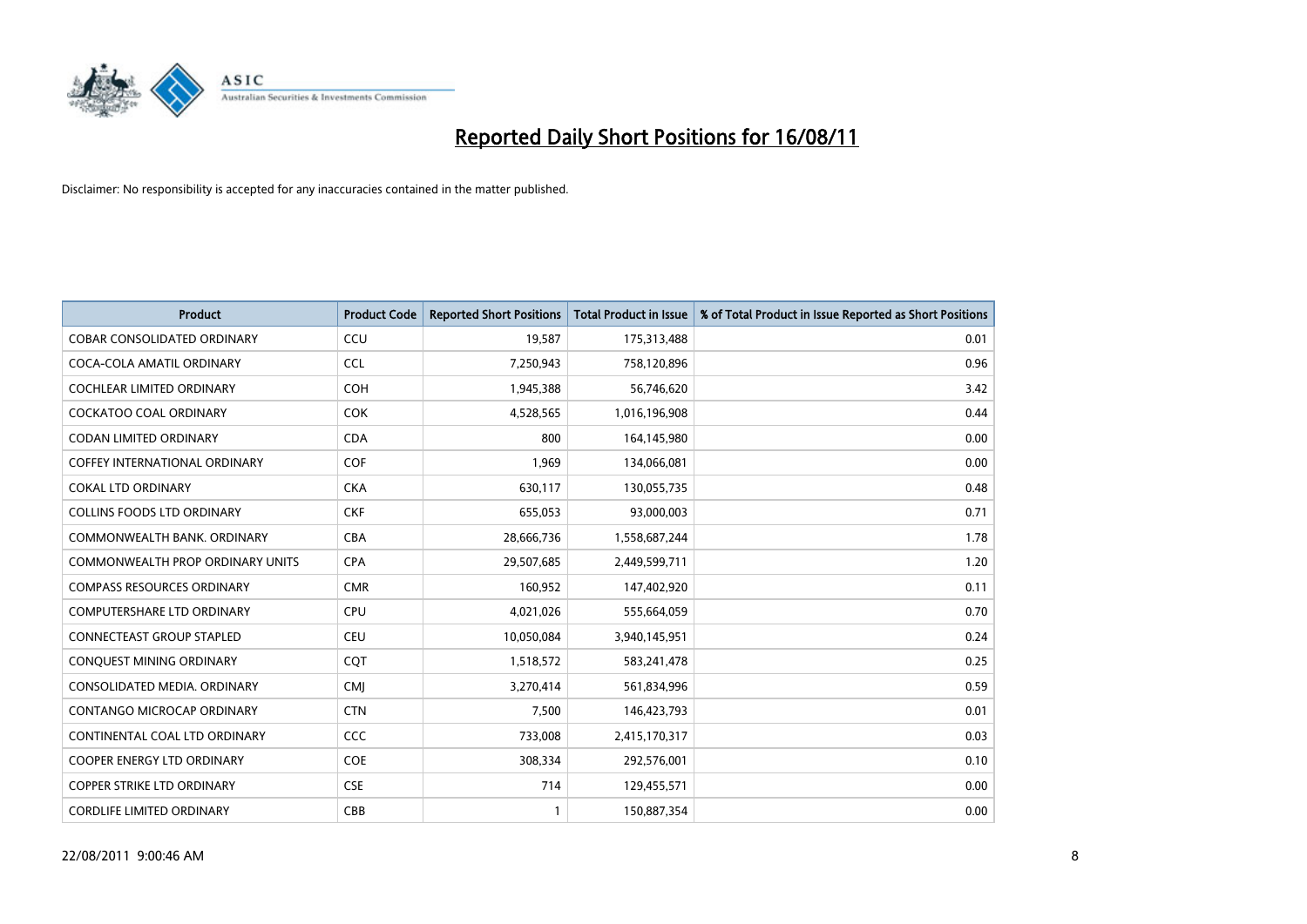

| <b>Product</b>                          | <b>Product Code</b> | <b>Reported Short Positions</b> | <b>Total Product in Issue</b> | % of Total Product in Issue Reported as Short Positions |
|-----------------------------------------|---------------------|---------------------------------|-------------------------------|---------------------------------------------------------|
| <b>COBAR CONSOLIDATED ORDINARY</b>      | CCU                 | 19,587                          | 175,313,488                   | 0.01                                                    |
| COCA-COLA AMATIL ORDINARY               | <b>CCL</b>          | 7,250,943                       | 758,120,896                   | 0.96                                                    |
| <b>COCHLEAR LIMITED ORDINARY</b>        | <b>COH</b>          | 1,945,388                       | 56,746,620                    | 3.42                                                    |
| COCKATOO COAL ORDINARY                  | <b>COK</b>          | 4,528,565                       | 1,016,196,908                 | 0.44                                                    |
| <b>CODAN LIMITED ORDINARY</b>           | <b>CDA</b>          | 800                             | 164,145,980                   | 0.00                                                    |
| <b>COFFEY INTERNATIONAL ORDINARY</b>    | COF                 | 1,969                           | 134,066,081                   | 0.00                                                    |
| <b>COKAL LTD ORDINARY</b>               | <b>CKA</b>          | 630,117                         | 130,055,735                   | 0.48                                                    |
| <b>COLLINS FOODS LTD ORDINARY</b>       | <b>CKF</b>          | 655,053                         | 93,000,003                    | 0.71                                                    |
| COMMONWEALTH BANK, ORDINARY             | <b>CBA</b>          | 28,666,736                      | 1,558,687,244                 | 1.78                                                    |
| <b>COMMONWEALTH PROP ORDINARY UNITS</b> | <b>CPA</b>          | 29,507,685                      | 2,449,599,711                 | 1.20                                                    |
| <b>COMPASS RESOURCES ORDINARY</b>       | <b>CMR</b>          | 160,952                         | 147,402,920                   | 0.11                                                    |
| <b>COMPUTERSHARE LTD ORDINARY</b>       | <b>CPU</b>          | 4,021,026                       | 555,664,059                   | 0.70                                                    |
| <b>CONNECTEAST GROUP STAPLED</b>        | <b>CEU</b>          | 10,050,084                      | 3,940,145,951                 | 0.24                                                    |
| CONQUEST MINING ORDINARY                | <b>COT</b>          | 1,518,572                       | 583,241,478                   | 0.25                                                    |
| CONSOLIDATED MEDIA, ORDINARY            | <b>CMI</b>          | 3,270,414                       | 561,834,996                   | 0.59                                                    |
| CONTANGO MICROCAP ORDINARY              | <b>CTN</b>          | 7,500                           | 146,423,793                   | 0.01                                                    |
| CONTINENTAL COAL LTD ORDINARY           | CCC                 | 733,008                         | 2,415,170,317                 | 0.03                                                    |
| COOPER ENERGY LTD ORDINARY              | <b>COE</b>          | 308,334                         | 292,576,001                   | 0.10                                                    |
| <b>COPPER STRIKE LTD ORDINARY</b>       | <b>CSE</b>          | 714                             | 129,455,571                   | 0.00                                                    |
| <b>CORDLIFE LIMITED ORDINARY</b>        | CBB                 |                                 | 150,887,354                   | 0.00                                                    |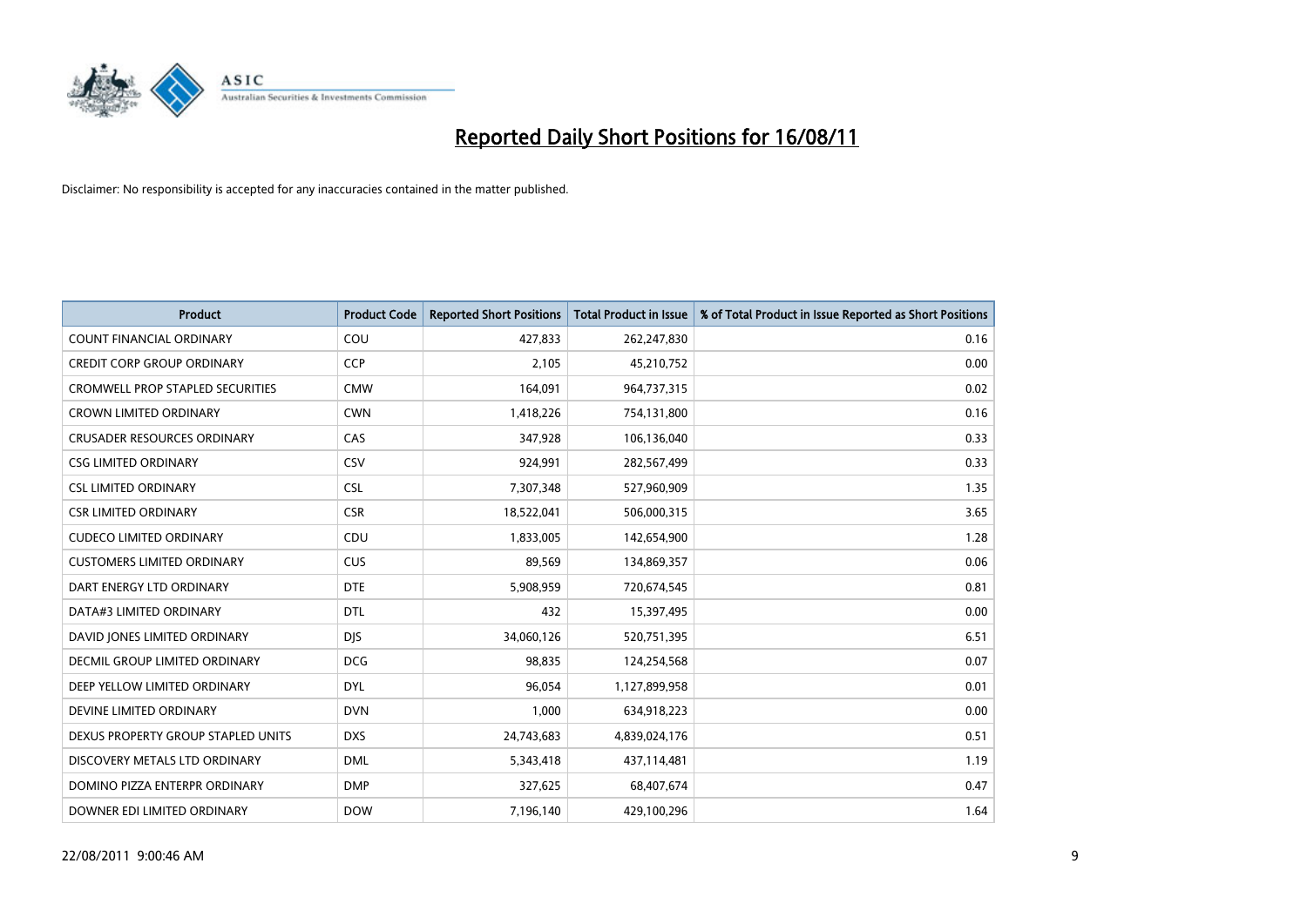

| <b>Product</b>                          | <b>Product Code</b> | <b>Reported Short Positions</b> | <b>Total Product in Issue</b> | % of Total Product in Issue Reported as Short Positions |
|-----------------------------------------|---------------------|---------------------------------|-------------------------------|---------------------------------------------------------|
| <b>COUNT FINANCIAL ORDINARY</b>         | COU                 | 427,833                         | 262,247,830                   | 0.16                                                    |
| <b>CREDIT CORP GROUP ORDINARY</b>       | <b>CCP</b>          | 2,105                           | 45,210,752                    | 0.00                                                    |
| <b>CROMWELL PROP STAPLED SECURITIES</b> | <b>CMW</b>          | 164,091                         | 964,737,315                   | 0.02                                                    |
| <b>CROWN LIMITED ORDINARY</b>           | <b>CWN</b>          | 1,418,226                       | 754,131,800                   | 0.16                                                    |
| <b>CRUSADER RESOURCES ORDINARY</b>      | CAS                 | 347,928                         | 106,136,040                   | 0.33                                                    |
| <b>CSG LIMITED ORDINARY</b>             | CSV                 | 924,991                         | 282,567,499                   | 0.33                                                    |
| <b>CSL LIMITED ORDINARY</b>             | <b>CSL</b>          | 7,307,348                       | 527,960,909                   | 1.35                                                    |
| <b>CSR LIMITED ORDINARY</b>             | <b>CSR</b>          | 18,522,041                      | 506,000,315                   | 3.65                                                    |
| <b>CUDECO LIMITED ORDINARY</b>          | CDU                 | 1,833,005                       | 142,654,900                   | 1.28                                                    |
| <b>CUSTOMERS LIMITED ORDINARY</b>       | <b>CUS</b>          | 89,569                          | 134,869,357                   | 0.06                                                    |
| DART ENERGY LTD ORDINARY                | <b>DTE</b>          | 5,908,959                       | 720,674,545                   | 0.81                                                    |
| DATA#3 LIMITED ORDINARY                 | DTL                 | 432                             | 15,397,495                    | 0.00                                                    |
| DAVID JONES LIMITED ORDINARY            | <b>DJS</b>          | 34,060,126                      | 520,751,395                   | 6.51                                                    |
| DECMIL GROUP LIMITED ORDINARY           | <b>DCG</b>          | 98,835                          | 124,254,568                   | 0.07                                                    |
| DEEP YELLOW LIMITED ORDINARY            | <b>DYL</b>          | 96,054                          | 1,127,899,958                 | 0.01                                                    |
| DEVINE LIMITED ORDINARY                 | <b>DVN</b>          | 1,000                           | 634,918,223                   | 0.00                                                    |
| DEXUS PROPERTY GROUP STAPLED UNITS      | <b>DXS</b>          | 24,743,683                      | 4,839,024,176                 | 0.51                                                    |
| DISCOVERY METALS LTD ORDINARY           | <b>DML</b>          | 5,343,418                       | 437,114,481                   | 1.19                                                    |
| DOMINO PIZZA ENTERPR ORDINARY           | <b>DMP</b>          | 327,625                         | 68,407,674                    | 0.47                                                    |
| DOWNER EDI LIMITED ORDINARY             | <b>DOW</b>          | 7,196,140                       | 429,100,296                   | 1.64                                                    |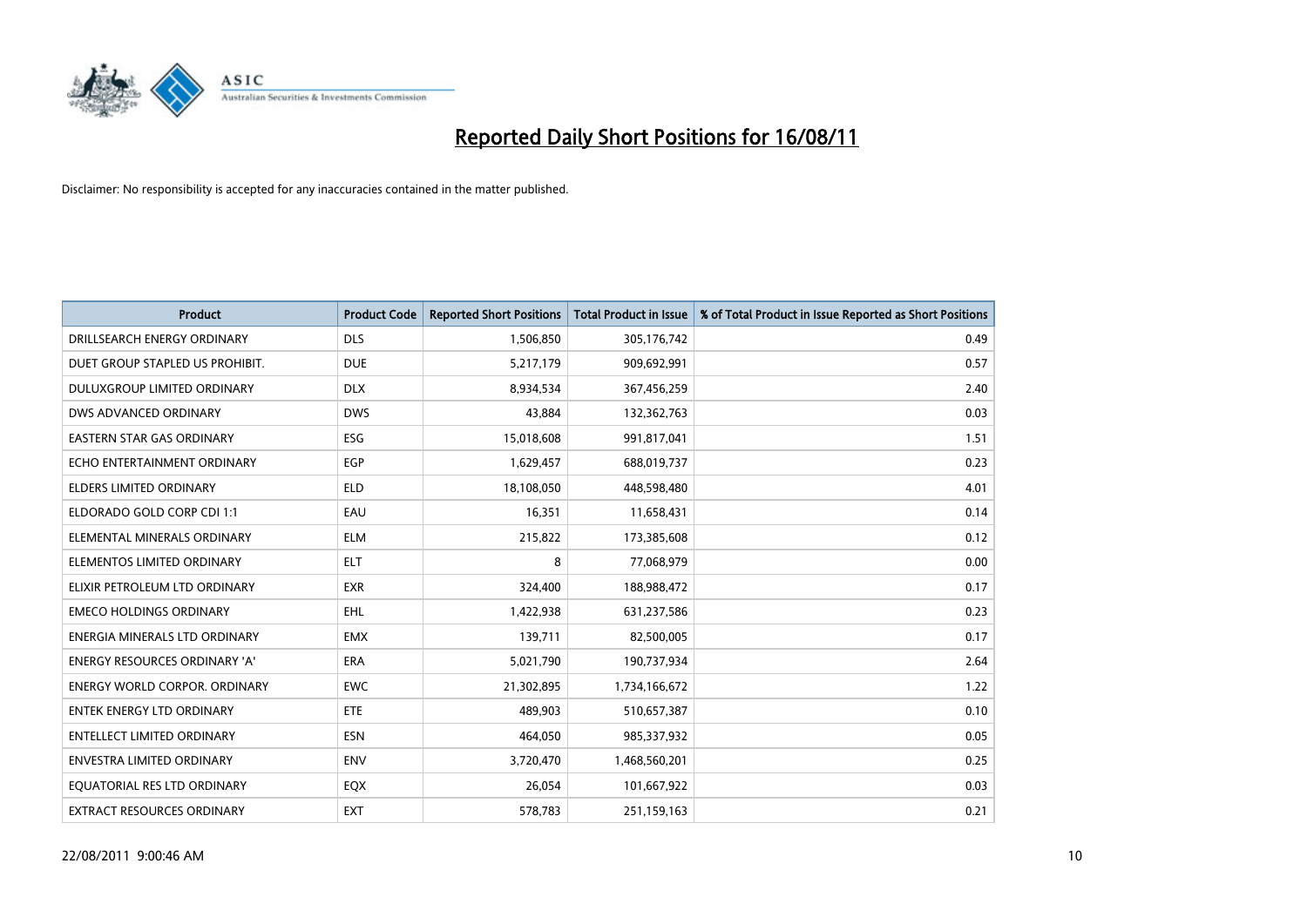

| <b>Product</b>                       | <b>Product Code</b> | <b>Reported Short Positions</b> | Total Product in Issue | % of Total Product in Issue Reported as Short Positions |
|--------------------------------------|---------------------|---------------------------------|------------------------|---------------------------------------------------------|
| DRILLSEARCH ENERGY ORDINARY          | <b>DLS</b>          | 1,506,850                       | 305,176,742            | 0.49                                                    |
| DUET GROUP STAPLED US PROHIBIT.      | <b>DUE</b>          | 5,217,179                       | 909,692,991            | 0.57                                                    |
| DULUXGROUP LIMITED ORDINARY          | <b>DLX</b>          | 8,934,534                       | 367,456,259            | 2.40                                                    |
| DWS ADVANCED ORDINARY                | <b>DWS</b>          | 43,884                          | 132,362,763            | 0.03                                                    |
| <b>EASTERN STAR GAS ORDINARY</b>     | ESG                 | 15,018,608                      | 991,817,041            | 1.51                                                    |
| ECHO ENTERTAINMENT ORDINARY          | EGP                 | 1,629,457                       | 688,019,737            | 0.23                                                    |
| ELDERS LIMITED ORDINARY              | <b>ELD</b>          | 18,108,050                      | 448,598,480            | 4.01                                                    |
| ELDORADO GOLD CORP CDI 1:1           | EAU                 | 16,351                          | 11,658,431             | 0.14                                                    |
| ELEMENTAL MINERALS ORDINARY          | <b>ELM</b>          | 215,822                         | 173,385,608            | 0.12                                                    |
| ELEMENTOS LIMITED ORDINARY           | <b>ELT</b>          | 8                               | 77,068,979             | 0.00                                                    |
| ELIXIR PETROLEUM LTD ORDINARY        | <b>EXR</b>          | 324,400                         | 188,988,472            | 0.17                                                    |
| <b>EMECO HOLDINGS ORDINARY</b>       | <b>EHL</b>          | 1,422,938                       | 631,237,586            | 0.23                                                    |
| ENERGIA MINERALS LTD ORDINARY        | <b>EMX</b>          | 139,711                         | 82,500,005             | 0.17                                                    |
| ENERGY RESOURCES ORDINARY 'A'        | ERA                 | 5,021,790                       | 190,737,934            | 2.64                                                    |
| <b>ENERGY WORLD CORPOR, ORDINARY</b> | <b>EWC</b>          | 21,302,895                      | 1,734,166,672          | 1.22                                                    |
| ENTEK ENERGY LTD ORDINARY            | ETE                 | 489,903                         | 510,657,387            | 0.10                                                    |
| ENTELLECT LIMITED ORDINARY           | <b>ESN</b>          | 464,050                         | 985,337,932            | 0.05                                                    |
| ENVESTRA LIMITED ORDINARY            | <b>ENV</b>          | 3,720,470                       | 1,468,560,201          | 0.25                                                    |
| EQUATORIAL RES LTD ORDINARY          | EQX                 | 26,054                          | 101,667,922            | 0.03                                                    |
| EXTRACT RESOURCES ORDINARY           | <b>EXT</b>          | 578,783                         | 251,159,163            | 0.21                                                    |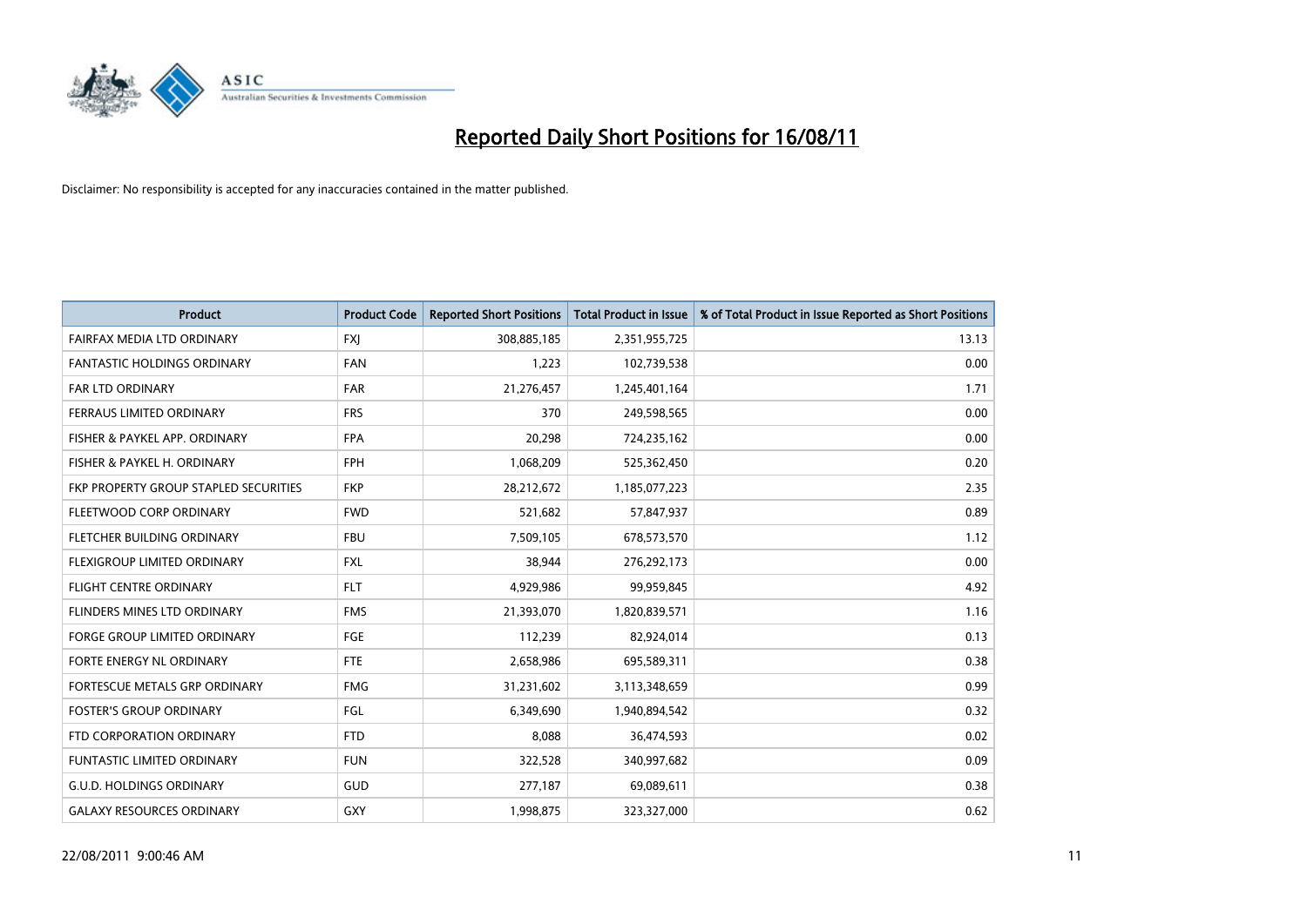

| <b>Product</b>                        | <b>Product Code</b> | <b>Reported Short Positions</b> | <b>Total Product in Issue</b> | % of Total Product in Issue Reported as Short Positions |
|---------------------------------------|---------------------|---------------------------------|-------------------------------|---------------------------------------------------------|
| FAIRFAX MEDIA LTD ORDINARY            | <b>FXJ</b>          | 308,885,185                     | 2,351,955,725                 | 13.13                                                   |
| <b>FANTASTIC HOLDINGS ORDINARY</b>    | <b>FAN</b>          | 1,223                           | 102,739,538                   | 0.00                                                    |
| FAR LTD ORDINARY                      | <b>FAR</b>          | 21,276,457                      | 1,245,401,164                 | 1.71                                                    |
| FERRAUS LIMITED ORDINARY              | <b>FRS</b>          | 370                             | 249,598,565                   | 0.00                                                    |
| FISHER & PAYKEL APP. ORDINARY         | <b>FPA</b>          | 20,298                          | 724,235,162                   | 0.00                                                    |
| FISHER & PAYKEL H. ORDINARY           | <b>FPH</b>          | 1,068,209                       | 525,362,450                   | 0.20                                                    |
| FKP PROPERTY GROUP STAPLED SECURITIES | <b>FKP</b>          | 28,212,672                      | 1,185,077,223                 | 2.35                                                    |
| FLEETWOOD CORP ORDINARY               | <b>FWD</b>          | 521,682                         | 57,847,937                    | 0.89                                                    |
| FLETCHER BUILDING ORDINARY            | <b>FBU</b>          | 7,509,105                       | 678,573,570                   | 1.12                                                    |
| FLEXIGROUP LIMITED ORDINARY           | <b>FXL</b>          | 38,944                          | 276,292,173                   | 0.00                                                    |
| FLIGHT CENTRE ORDINARY                | <b>FLT</b>          | 4,929,986                       | 99,959,845                    | 4.92                                                    |
| FLINDERS MINES LTD ORDINARY           | <b>FMS</b>          | 21,393,070                      | 1,820,839,571                 | 1.16                                                    |
| <b>FORGE GROUP LIMITED ORDINARY</b>   | <b>FGE</b>          | 112,239                         | 82,924,014                    | 0.13                                                    |
| FORTE ENERGY NL ORDINARY              | <b>FTE</b>          | 2,658,986                       | 695,589,311                   | 0.38                                                    |
| FORTESCUE METALS GRP ORDINARY         | <b>FMG</b>          | 31,231,602                      | 3,113,348,659                 | 0.99                                                    |
| <b>FOSTER'S GROUP ORDINARY</b>        | FGL                 | 6,349,690                       | 1,940,894,542                 | 0.32                                                    |
| FTD CORPORATION ORDINARY              | <b>FTD</b>          | 8,088                           | 36,474,593                    | 0.02                                                    |
| <b>FUNTASTIC LIMITED ORDINARY</b>     | <b>FUN</b>          | 322,528                         | 340,997,682                   | 0.09                                                    |
| <b>G.U.D. HOLDINGS ORDINARY</b>       | <b>GUD</b>          | 277,187                         | 69,089,611                    | 0.38                                                    |
| <b>GALAXY RESOURCES ORDINARY</b>      | GXY                 | 1,998,875                       | 323,327,000                   | 0.62                                                    |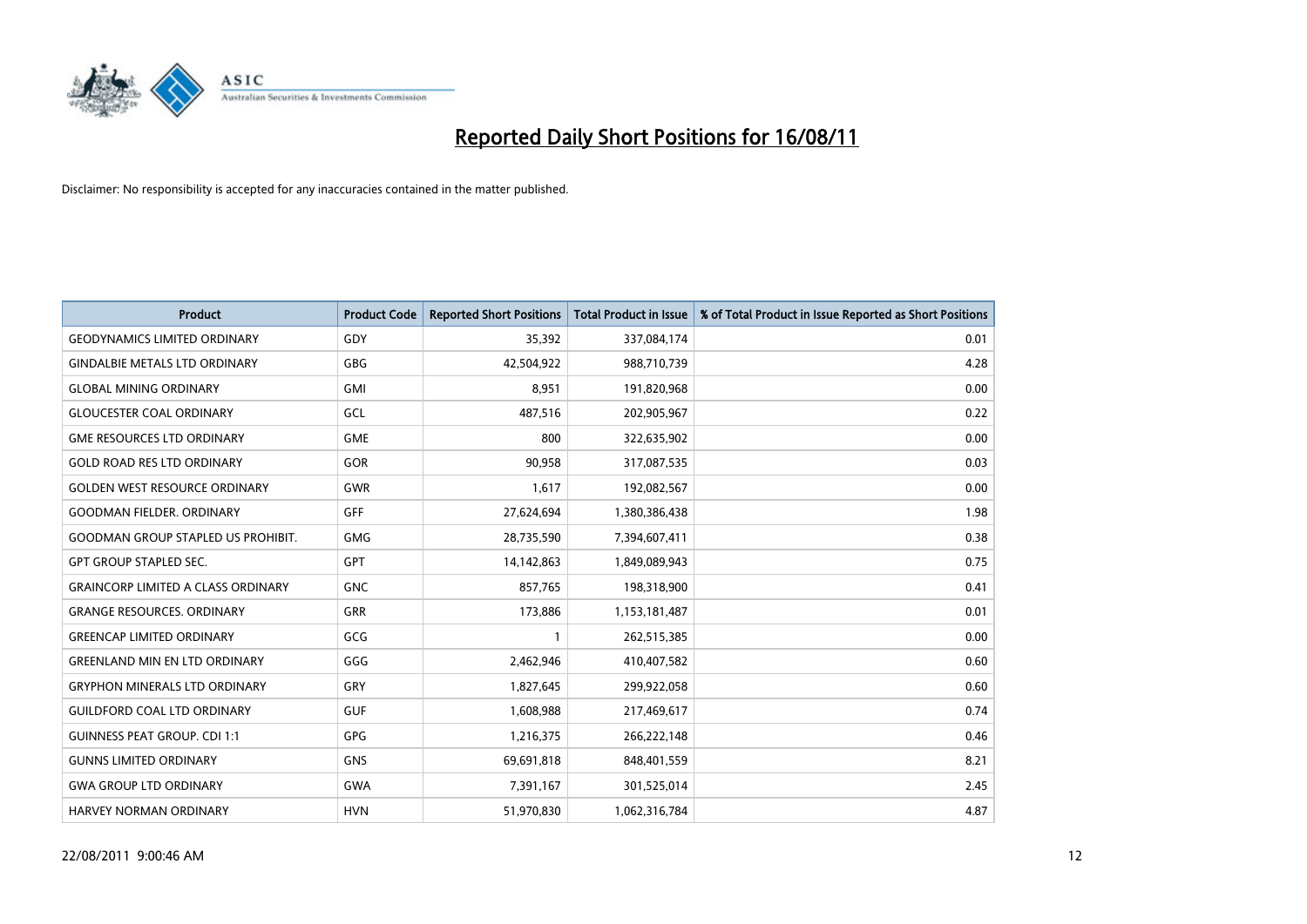

| <b>Product</b>                            | <b>Product Code</b> | <b>Reported Short Positions</b> | <b>Total Product in Issue</b> | % of Total Product in Issue Reported as Short Positions |
|-------------------------------------------|---------------------|---------------------------------|-------------------------------|---------------------------------------------------------|
| <b>GEODYNAMICS LIMITED ORDINARY</b>       | GDY                 | 35,392                          | 337,084,174                   | 0.01                                                    |
| <b>GINDALBIE METALS LTD ORDINARY</b>      | <b>GBG</b>          | 42,504,922                      | 988,710,739                   | 4.28                                                    |
| <b>GLOBAL MINING ORDINARY</b>             | <b>GMI</b>          | 8,951                           | 191,820,968                   | 0.00                                                    |
| <b>GLOUCESTER COAL ORDINARY</b>           | GCL                 | 487,516                         | 202,905,967                   | 0.22                                                    |
| <b>GME RESOURCES LTD ORDINARY</b>         | <b>GME</b>          | 800                             | 322,635,902                   | 0.00                                                    |
| <b>GOLD ROAD RES LTD ORDINARY</b>         | GOR                 | 90,958                          | 317,087,535                   | 0.03                                                    |
| <b>GOLDEN WEST RESOURCE ORDINARY</b>      | <b>GWR</b>          | 1,617                           | 192,082,567                   | 0.00                                                    |
| <b>GOODMAN FIELDER, ORDINARY</b>          | <b>GFF</b>          | 27,624,694                      | 1,380,386,438                 | 1.98                                                    |
| <b>GOODMAN GROUP STAPLED US PROHIBIT.</b> | <b>GMG</b>          | 28,735,590                      | 7,394,607,411                 | 0.38                                                    |
| <b>GPT GROUP STAPLED SEC.</b>             | <b>GPT</b>          | 14,142,863                      | 1,849,089,943                 | 0.75                                                    |
| <b>GRAINCORP LIMITED A CLASS ORDINARY</b> | <b>GNC</b>          | 857,765                         | 198,318,900                   | 0.41                                                    |
| <b>GRANGE RESOURCES, ORDINARY</b>         | <b>GRR</b>          | 173,886                         | 1,153,181,487                 | 0.01                                                    |
| <b>GREENCAP LIMITED ORDINARY</b>          | GCG                 |                                 | 262,515,385                   | 0.00                                                    |
| <b>GREENLAND MIN EN LTD ORDINARY</b>      | GGG                 | 2,462,946                       | 410,407,582                   | 0.60                                                    |
| <b>GRYPHON MINERALS LTD ORDINARY</b>      | GRY                 | 1,827,645                       | 299,922,058                   | 0.60                                                    |
| <b>GUILDFORD COAL LTD ORDINARY</b>        | <b>GUF</b>          | 1,608,988                       | 217,469,617                   | 0.74                                                    |
| <b>GUINNESS PEAT GROUP. CDI 1:1</b>       | GPG                 | 1,216,375                       | 266,222,148                   | 0.46                                                    |
| <b>GUNNS LIMITED ORDINARY</b>             | <b>GNS</b>          | 69,691,818                      | 848,401,559                   | 8.21                                                    |
| <b>GWA GROUP LTD ORDINARY</b>             | <b>GWA</b>          | 7,391,167                       | 301,525,014                   | 2.45                                                    |
| <b>HARVEY NORMAN ORDINARY</b>             | <b>HVN</b>          | 51,970,830                      | 1,062,316,784                 | 4.87                                                    |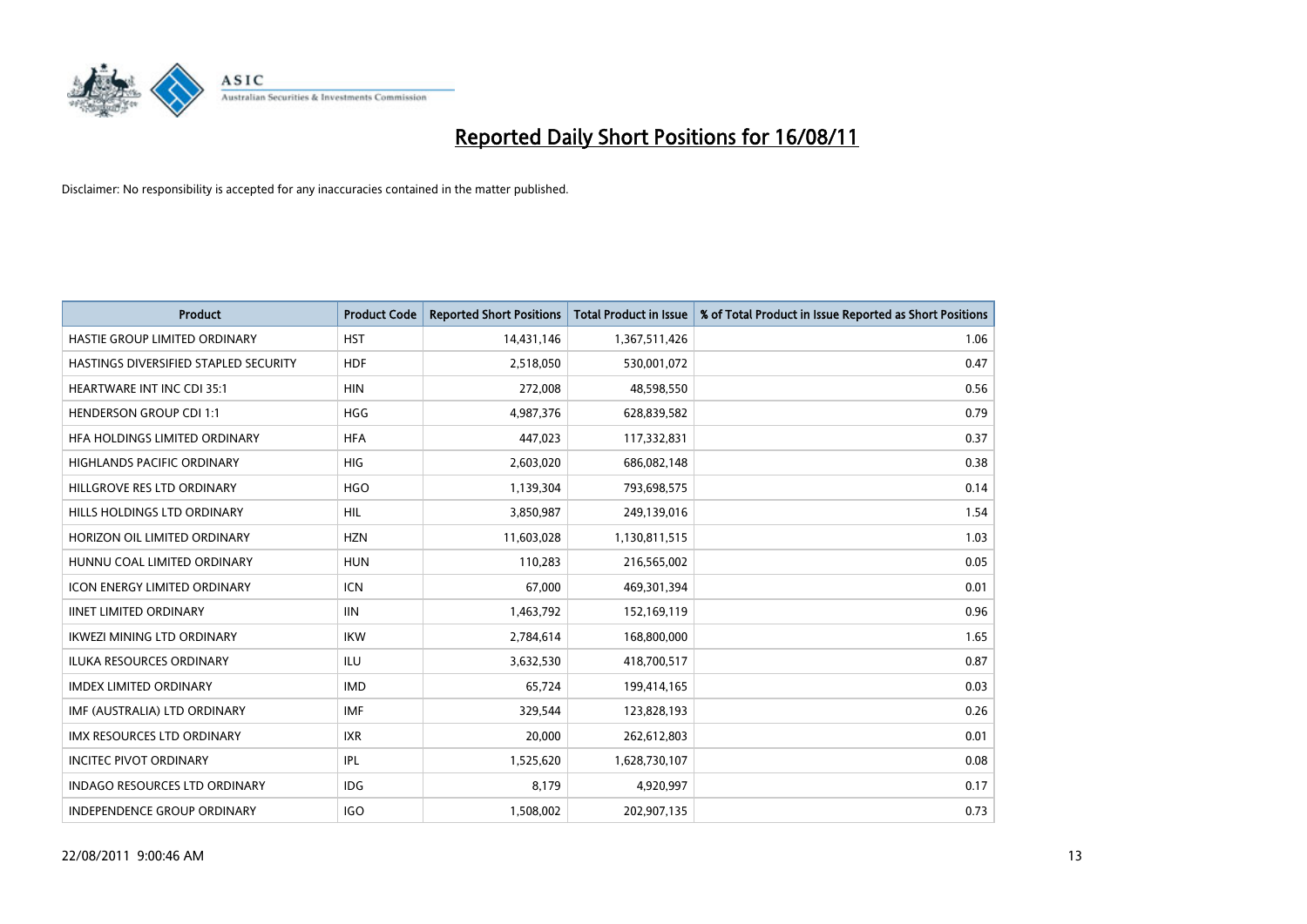

| <b>Product</b>                        | <b>Product Code</b> | <b>Reported Short Positions</b> | <b>Total Product in Issue</b> | % of Total Product in Issue Reported as Short Positions |
|---------------------------------------|---------------------|---------------------------------|-------------------------------|---------------------------------------------------------|
| HASTIE GROUP LIMITED ORDINARY         | <b>HST</b>          | 14,431,146                      | 1,367,511,426                 | 1.06                                                    |
| HASTINGS DIVERSIFIED STAPLED SECURITY | <b>HDF</b>          | 2,518,050                       | 530,001,072                   | 0.47                                                    |
| <b>HEARTWARE INT INC CDI 35:1</b>     | <b>HIN</b>          | 272,008                         | 48,598,550                    | 0.56                                                    |
| <b>HENDERSON GROUP CDI 1:1</b>        | <b>HGG</b>          | 4,987,376                       | 628,839,582                   | 0.79                                                    |
| HEA HOLDINGS LIMITED ORDINARY         | <b>HFA</b>          | 447,023                         | 117,332,831                   | 0.37                                                    |
| <b>HIGHLANDS PACIFIC ORDINARY</b>     | <b>HIG</b>          | 2,603,020                       | 686,082,148                   | 0.38                                                    |
| HILLGROVE RES LTD ORDINARY            | <b>HGO</b>          | 1,139,304                       | 793,698,575                   | 0.14                                                    |
| HILLS HOLDINGS LTD ORDINARY           | <b>HIL</b>          | 3,850,987                       | 249,139,016                   | 1.54                                                    |
| HORIZON OIL LIMITED ORDINARY          | <b>HZN</b>          | 11,603,028                      | 1,130,811,515                 | 1.03                                                    |
| HUNNU COAL LIMITED ORDINARY           | <b>HUN</b>          | 110,283                         | 216,565,002                   | 0.05                                                    |
| <b>ICON ENERGY LIMITED ORDINARY</b>   | <b>ICN</b>          | 67,000                          | 469,301,394                   | 0.01                                                    |
| <b>IINET LIMITED ORDINARY</b>         | <b>IIN</b>          | 1,463,792                       | 152,169,119                   | 0.96                                                    |
| <b>IKWEZI MINING LTD ORDINARY</b>     | <b>IKW</b>          | 2,784,614                       | 168,800,000                   | 1.65                                                    |
| <b>ILUKA RESOURCES ORDINARY</b>       | <b>ILU</b>          | 3,632,530                       | 418,700,517                   | 0.87                                                    |
| <b>IMDEX LIMITED ORDINARY</b>         | <b>IMD</b>          | 65,724                          | 199,414,165                   | 0.03                                                    |
| IMF (AUSTRALIA) LTD ORDINARY          | <b>IMF</b>          | 329,544                         | 123,828,193                   | 0.26                                                    |
| <b>IMX RESOURCES LTD ORDINARY</b>     | <b>IXR</b>          | 20,000                          | 262,612,803                   | 0.01                                                    |
| <b>INCITEC PIVOT ORDINARY</b>         | IPL                 | 1,525,620                       | 1,628,730,107                 | 0.08                                                    |
| <b>INDAGO RESOURCES LTD ORDINARY</b>  | <b>IDG</b>          | 8,179                           | 4,920,997                     | 0.17                                                    |
| INDEPENDENCE GROUP ORDINARY           | IGO                 | 1,508,002                       | 202,907,135                   | 0.73                                                    |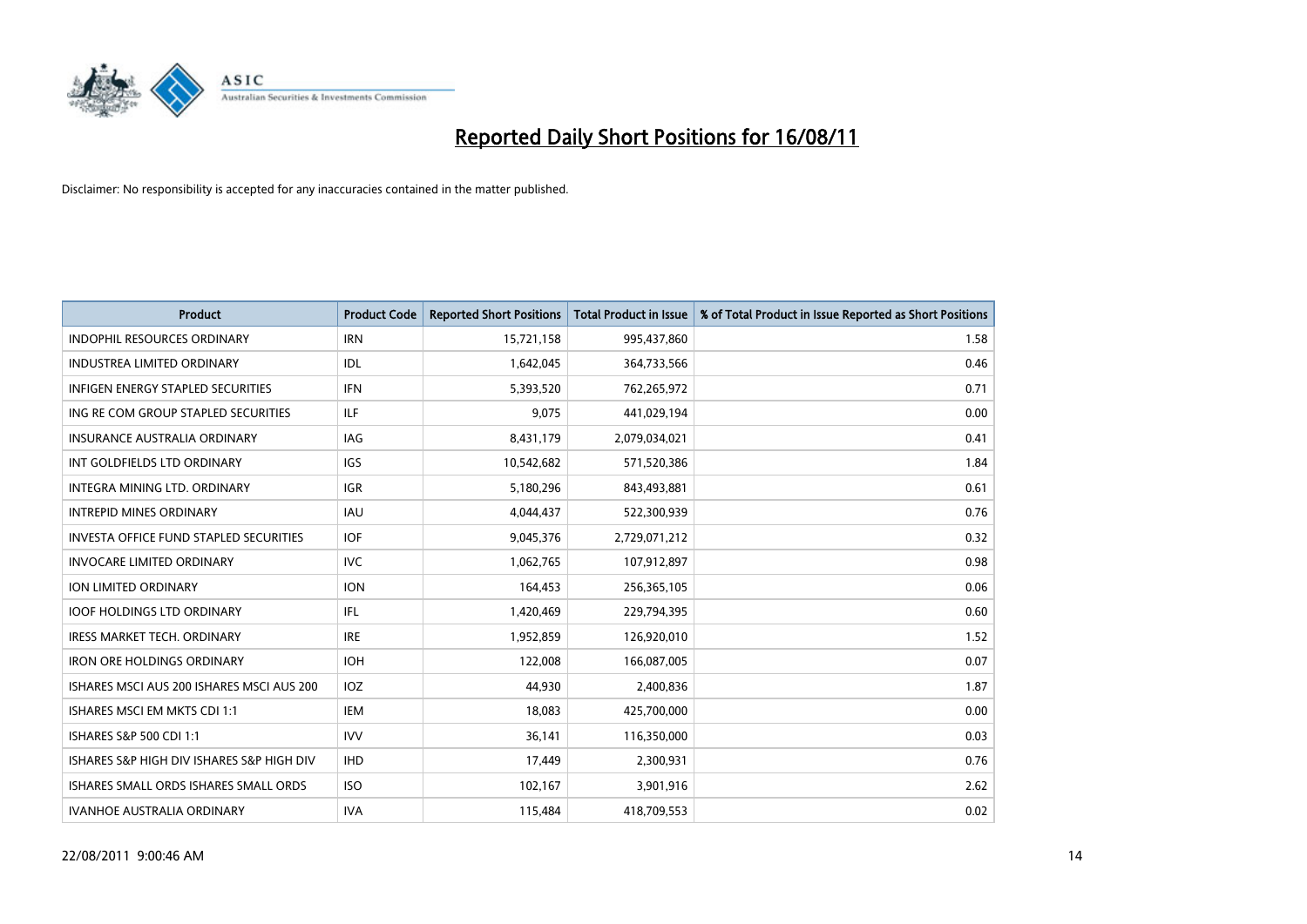

| <b>Product</b>                                | <b>Product Code</b> | <b>Reported Short Positions</b> | Total Product in Issue | % of Total Product in Issue Reported as Short Positions |
|-----------------------------------------------|---------------------|---------------------------------|------------------------|---------------------------------------------------------|
| <b>INDOPHIL RESOURCES ORDINARY</b>            | <b>IRN</b>          | 15,721,158                      | 995,437,860            | 1.58                                                    |
| <b>INDUSTREA LIMITED ORDINARY</b>             | IDL                 | 1,642,045                       | 364,733,566            | 0.46                                                    |
| <b>INFIGEN ENERGY STAPLED SECURITIES</b>      | <b>IFN</b>          | 5,393,520                       | 762,265,972            | 0.71                                                    |
| ING RE COM GROUP STAPLED SECURITIES           | ILF                 | 9,075                           | 441,029,194            | 0.00                                                    |
| <b>INSURANCE AUSTRALIA ORDINARY</b>           | <b>IAG</b>          | 8,431,179                       | 2,079,034,021          | 0.41                                                    |
| INT GOLDFIELDS LTD ORDINARY                   | <b>IGS</b>          | 10,542,682                      | 571,520,386            | 1.84                                                    |
| INTEGRA MINING LTD. ORDINARY                  | <b>IGR</b>          | 5,180,296                       | 843,493,881            | 0.61                                                    |
| <b>INTREPID MINES ORDINARY</b>                | <b>IAU</b>          | 4,044,437                       | 522,300,939            | 0.76                                                    |
| <b>INVESTA OFFICE FUND STAPLED SECURITIES</b> | <b>IOF</b>          | 9,045,376                       | 2,729,071,212          | 0.32                                                    |
| <b>INVOCARE LIMITED ORDINARY</b>              | <b>IVC</b>          | 1,062,765                       | 107,912,897            | 0.98                                                    |
| <b>ION LIMITED ORDINARY</b>                   | <b>ION</b>          | 164,453                         | 256,365,105            | 0.06                                                    |
| <b>IOOF HOLDINGS LTD ORDINARY</b>             | IFL.                | 1,420,469                       | 229,794,395            | 0.60                                                    |
| <b>IRESS MARKET TECH. ORDINARY</b>            | <b>IRE</b>          | 1,952,859                       | 126,920,010            | 1.52                                                    |
| <b>IRON ORE HOLDINGS ORDINARY</b>             | <b>IOH</b>          | 122,008                         | 166,087,005            | 0.07                                                    |
| ISHARES MSCLAUS 200 ISHARES MSCLAUS 200       | <b>IOZ</b>          | 44,930                          | 2,400,836              | 1.87                                                    |
| ISHARES MSCI EM MKTS CDI 1:1                  | IEM                 | 18,083                          | 425,700,000            | 0.00                                                    |
| ISHARES S&P 500 CDI 1:1                       | <b>IVV</b>          | 36,141                          | 116,350,000            | 0.03                                                    |
| ISHARES S&P HIGH DIV ISHARES S&P HIGH DIV     | <b>IHD</b>          | 17,449                          | 2,300,931              | 0.76                                                    |
| ISHARES SMALL ORDS ISHARES SMALL ORDS         | <b>ISO</b>          | 102,167                         | 3,901,916              | 2.62                                                    |
| <b>IVANHOE AUSTRALIA ORDINARY</b>             | <b>IVA</b>          | 115,484                         | 418,709,553            | 0.02                                                    |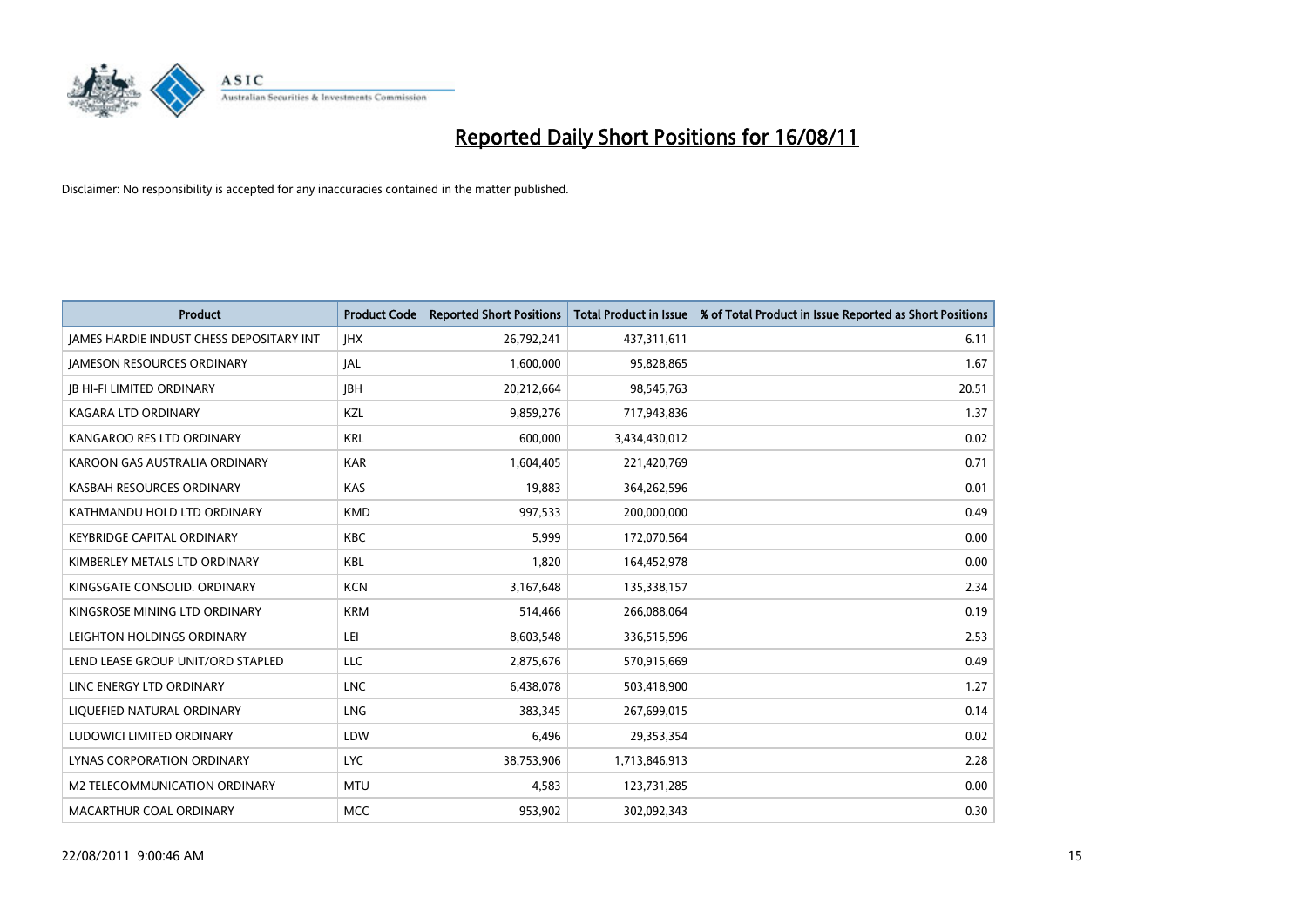

| <b>Product</b>                                  | <b>Product Code</b> | <b>Reported Short Positions</b> | Total Product in Issue | % of Total Product in Issue Reported as Short Positions |
|-------------------------------------------------|---------------------|---------------------------------|------------------------|---------------------------------------------------------|
| <b>JAMES HARDIE INDUST CHESS DEPOSITARY INT</b> | <b>JHX</b>          | 26,792,241                      | 437,311,611            | 6.11                                                    |
| <b>JAMESON RESOURCES ORDINARY</b>               | <b>JAL</b>          | 1,600,000                       | 95,828,865             | 1.67                                                    |
| <b>JB HI-FI LIMITED ORDINARY</b>                | <b>IBH</b>          | 20,212,664                      | 98,545,763             | 20.51                                                   |
| <b>KAGARA LTD ORDINARY</b>                      | KZL                 | 9,859,276                       | 717,943,836            | 1.37                                                    |
| KANGAROO RES LTD ORDINARY                       | <b>KRL</b>          | 600,000                         | 3,434,430,012          | 0.02                                                    |
| KAROON GAS AUSTRALIA ORDINARY                   | <b>KAR</b>          | 1,604,405                       | 221,420,769            | 0.71                                                    |
| KASBAH RESOURCES ORDINARY                       | <b>KAS</b>          | 19,883                          | 364,262,596            | 0.01                                                    |
| KATHMANDU HOLD LTD ORDINARY                     | <b>KMD</b>          | 997,533                         | 200,000,000            | 0.49                                                    |
| <b>KEYBRIDGE CAPITAL ORDINARY</b>               | <b>KBC</b>          | 5,999                           | 172,070,564            | 0.00                                                    |
| KIMBERLEY METALS LTD ORDINARY                   | <b>KBL</b>          | 1,820                           | 164,452,978            | 0.00                                                    |
| KINGSGATE CONSOLID, ORDINARY                    | <b>KCN</b>          | 3,167,648                       | 135,338,157            | 2.34                                                    |
| KINGSROSE MINING LTD ORDINARY                   | <b>KRM</b>          | 514,466                         | 266,088,064            | 0.19                                                    |
| LEIGHTON HOLDINGS ORDINARY                      | LEI                 | 8,603,548                       | 336,515,596            | 2.53                                                    |
| LEND LEASE GROUP UNIT/ORD STAPLED               | LLC                 | 2,875,676                       | 570,915,669            | 0.49                                                    |
| LINC ENERGY LTD ORDINARY                        | <b>LNC</b>          | 6,438,078                       | 503,418,900            | 1.27                                                    |
| LIQUEFIED NATURAL ORDINARY                      | <b>LNG</b>          | 383.345                         | 267,699,015            | 0.14                                                    |
| LUDOWICI LIMITED ORDINARY                       | LDW                 | 6,496                           | 29,353,354             | 0.02                                                    |
| LYNAS CORPORATION ORDINARY                      | <b>LYC</b>          | 38,753,906                      | 1,713,846,913          | 2.28                                                    |
| <b>M2 TELECOMMUNICATION ORDINARY</b>            | <b>MTU</b>          | 4,583                           | 123,731,285            | 0.00                                                    |
| MACARTHUR COAL ORDINARY                         | <b>MCC</b>          | 953,902                         | 302,092,343            | 0.30                                                    |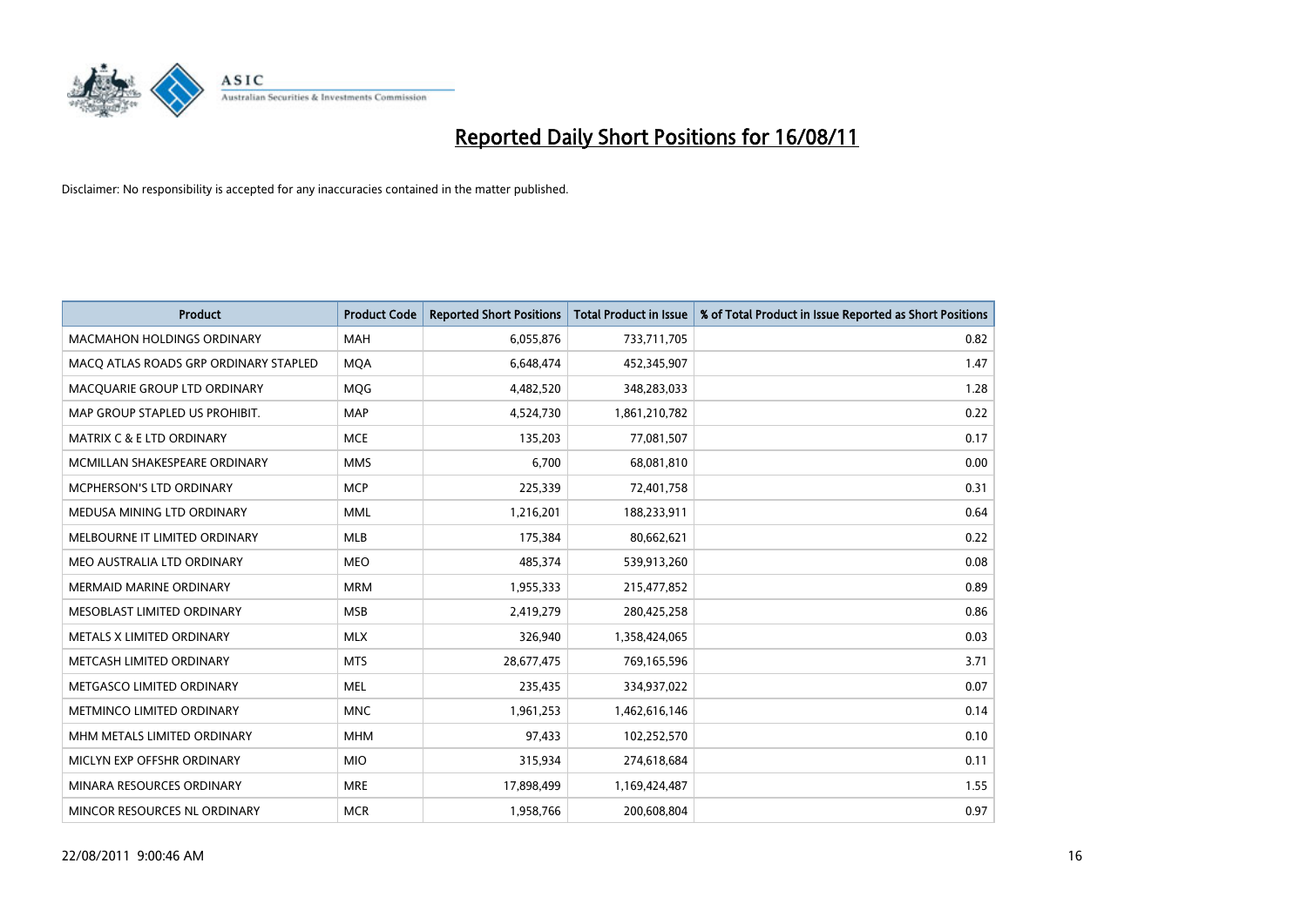

| <b>Product</b>                        | <b>Product Code</b> | <b>Reported Short Positions</b> | <b>Total Product in Issue</b> | % of Total Product in Issue Reported as Short Positions |
|---------------------------------------|---------------------|---------------------------------|-------------------------------|---------------------------------------------------------|
| <b>MACMAHON HOLDINGS ORDINARY</b>     | <b>MAH</b>          | 6,055,876                       | 733,711,705                   | 0.82                                                    |
| MACQ ATLAS ROADS GRP ORDINARY STAPLED | <b>MOA</b>          | 6,648,474                       | 452,345,907                   | 1.47                                                    |
| MACQUARIE GROUP LTD ORDINARY          | <b>MQG</b>          | 4,482,520                       | 348,283,033                   | 1.28                                                    |
| MAP GROUP STAPLED US PROHIBIT.        | <b>MAP</b>          | 4,524,730                       | 1,861,210,782                 | 0.22                                                    |
| <b>MATRIX C &amp; E LTD ORDINARY</b>  | <b>MCE</b>          | 135,203                         | 77,081,507                    | 0.17                                                    |
| MCMILLAN SHAKESPEARE ORDINARY         | <b>MMS</b>          | 6,700                           | 68,081,810                    | 0.00                                                    |
| MCPHERSON'S LTD ORDINARY              | <b>MCP</b>          | 225,339                         | 72,401,758                    | 0.31                                                    |
| MEDUSA MINING LTD ORDINARY            | <b>MML</b>          | 1,216,201                       | 188,233,911                   | 0.64                                                    |
| MELBOURNE IT LIMITED ORDINARY         | MLB                 | 175,384                         | 80,662,621                    | 0.22                                                    |
| MEO AUSTRALIA LTD ORDINARY            | <b>MEO</b>          | 485,374                         | 539,913,260                   | 0.08                                                    |
| <b>MERMAID MARINE ORDINARY</b>        | <b>MRM</b>          | 1,955,333                       | 215,477,852                   | 0.89                                                    |
| MESOBLAST LIMITED ORDINARY            | <b>MSB</b>          | 2,419,279                       | 280,425,258                   | 0.86                                                    |
| METALS X LIMITED ORDINARY             | <b>MLX</b>          | 326,940                         | 1,358,424,065                 | 0.03                                                    |
| METCASH LIMITED ORDINARY              | <b>MTS</b>          | 28,677,475                      | 769,165,596                   | 3.71                                                    |
| METGASCO LIMITED ORDINARY             | <b>MEL</b>          | 235,435                         | 334,937,022                   | 0.07                                                    |
| METMINCO LIMITED ORDINARY             | <b>MNC</b>          | 1,961,253                       | 1,462,616,146                 | 0.14                                                    |
| MHM METALS LIMITED ORDINARY           | <b>MHM</b>          | 97,433                          | 102,252,570                   | 0.10                                                    |
| MICLYN EXP OFFSHR ORDINARY            | <b>MIO</b>          | 315,934                         | 274,618,684                   | 0.11                                                    |
| MINARA RESOURCES ORDINARY             | <b>MRE</b>          | 17,898,499                      | 1,169,424,487                 | 1.55                                                    |
| MINCOR RESOURCES NL ORDINARY          | <b>MCR</b>          | 1,958,766                       | 200,608,804                   | 0.97                                                    |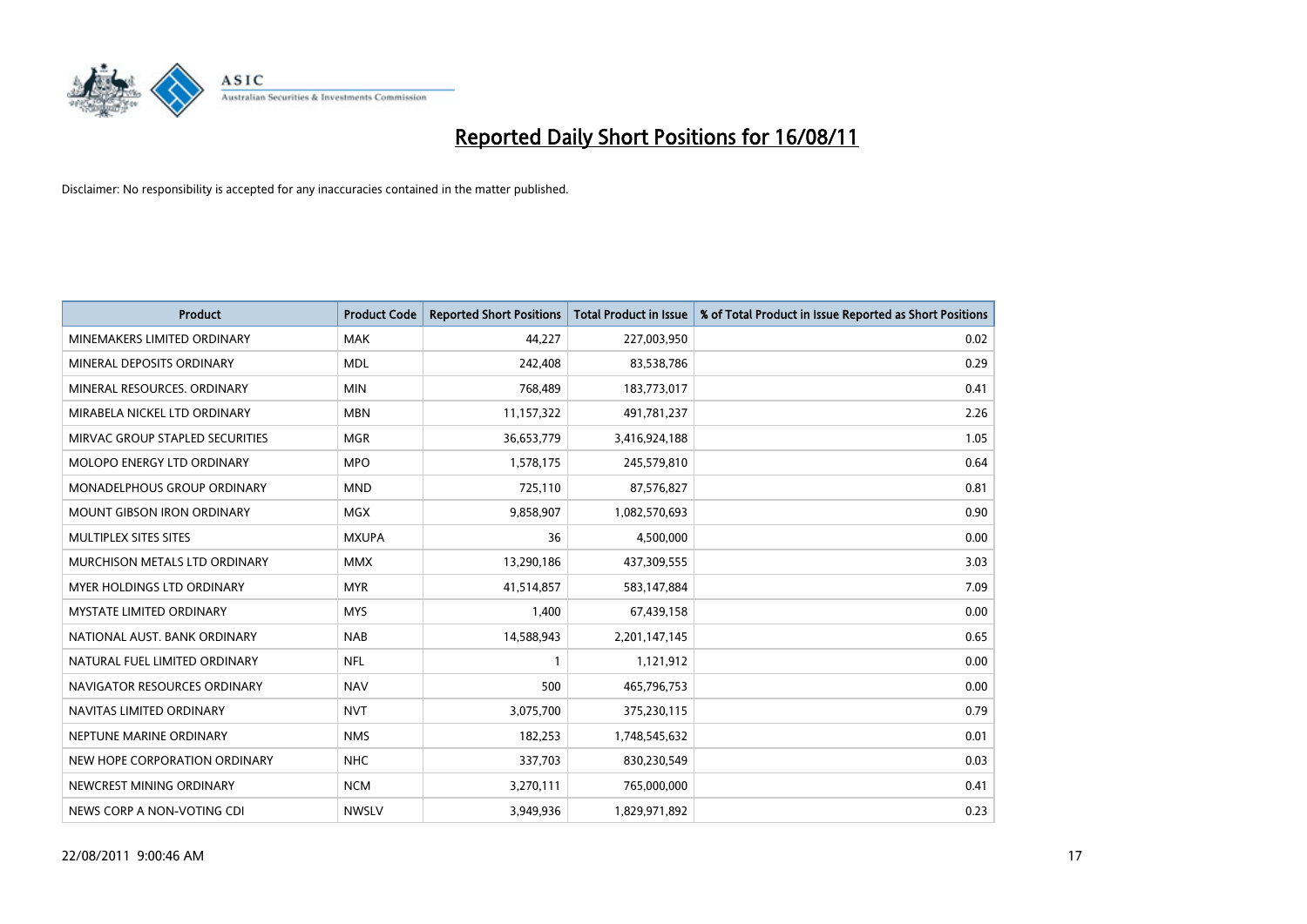

| <b>Product</b>                    | <b>Product Code</b> | <b>Reported Short Positions</b> | Total Product in Issue | % of Total Product in Issue Reported as Short Positions |
|-----------------------------------|---------------------|---------------------------------|------------------------|---------------------------------------------------------|
| MINEMAKERS LIMITED ORDINARY       | <b>MAK</b>          | 44,227                          | 227,003,950            | 0.02                                                    |
| MINERAL DEPOSITS ORDINARY         | <b>MDL</b>          | 242,408                         | 83,538,786             | 0.29                                                    |
| MINERAL RESOURCES, ORDINARY       | <b>MIN</b>          | 768,489                         | 183,773,017            | 0.41                                                    |
| MIRABELA NICKEL LTD ORDINARY      | <b>MBN</b>          | 11,157,322                      | 491,781,237            | 2.26                                                    |
| MIRVAC GROUP STAPLED SECURITIES   | <b>MGR</b>          | 36,653,779                      | 3,416,924,188          | 1.05                                                    |
| MOLOPO ENERGY LTD ORDINARY        | <b>MPO</b>          | 1,578,175                       | 245,579,810            | 0.64                                                    |
| MONADELPHOUS GROUP ORDINARY       | <b>MND</b>          | 725,110                         | 87,576,827             | 0.81                                                    |
| MOUNT GIBSON IRON ORDINARY        | <b>MGX</b>          | 9,858,907                       | 1,082,570,693          | 0.90                                                    |
| <b>MULTIPLEX SITES SITES</b>      | <b>MXUPA</b>        | 36                              | 4,500,000              | 0.00                                                    |
| MURCHISON METALS LTD ORDINARY     | <b>MMX</b>          | 13,290,186                      | 437,309,555            | 3.03                                                    |
| <b>MYER HOLDINGS LTD ORDINARY</b> | <b>MYR</b>          | 41,514,857                      | 583,147,884            | 7.09                                                    |
| <b>MYSTATE LIMITED ORDINARY</b>   | <b>MYS</b>          | 1,400                           | 67,439,158             | 0.00                                                    |
| NATIONAL AUST, BANK ORDINARY      | <b>NAB</b>          | 14,588,943                      | 2,201,147,145          | 0.65                                                    |
| NATURAL FUEL LIMITED ORDINARY     | <b>NFL</b>          |                                 | 1,121,912              | 0.00                                                    |
| NAVIGATOR RESOURCES ORDINARY      | <b>NAV</b>          | 500                             | 465,796,753            | 0.00                                                    |
| NAVITAS LIMITED ORDINARY          | <b>NVT</b>          | 3,075,700                       | 375,230,115            | 0.79                                                    |
| NEPTUNE MARINE ORDINARY           | <b>NMS</b>          | 182,253                         | 1,748,545,632          | 0.01                                                    |
| NEW HOPE CORPORATION ORDINARY     | <b>NHC</b>          | 337,703                         | 830,230,549            | 0.03                                                    |
| NEWCREST MINING ORDINARY          | <b>NCM</b>          | 3,270,111                       | 765,000,000            | 0.41                                                    |
| NEWS CORP A NON-VOTING CDI        | <b>NWSLV</b>        | 3,949,936                       | 1,829,971,892          | 0.23                                                    |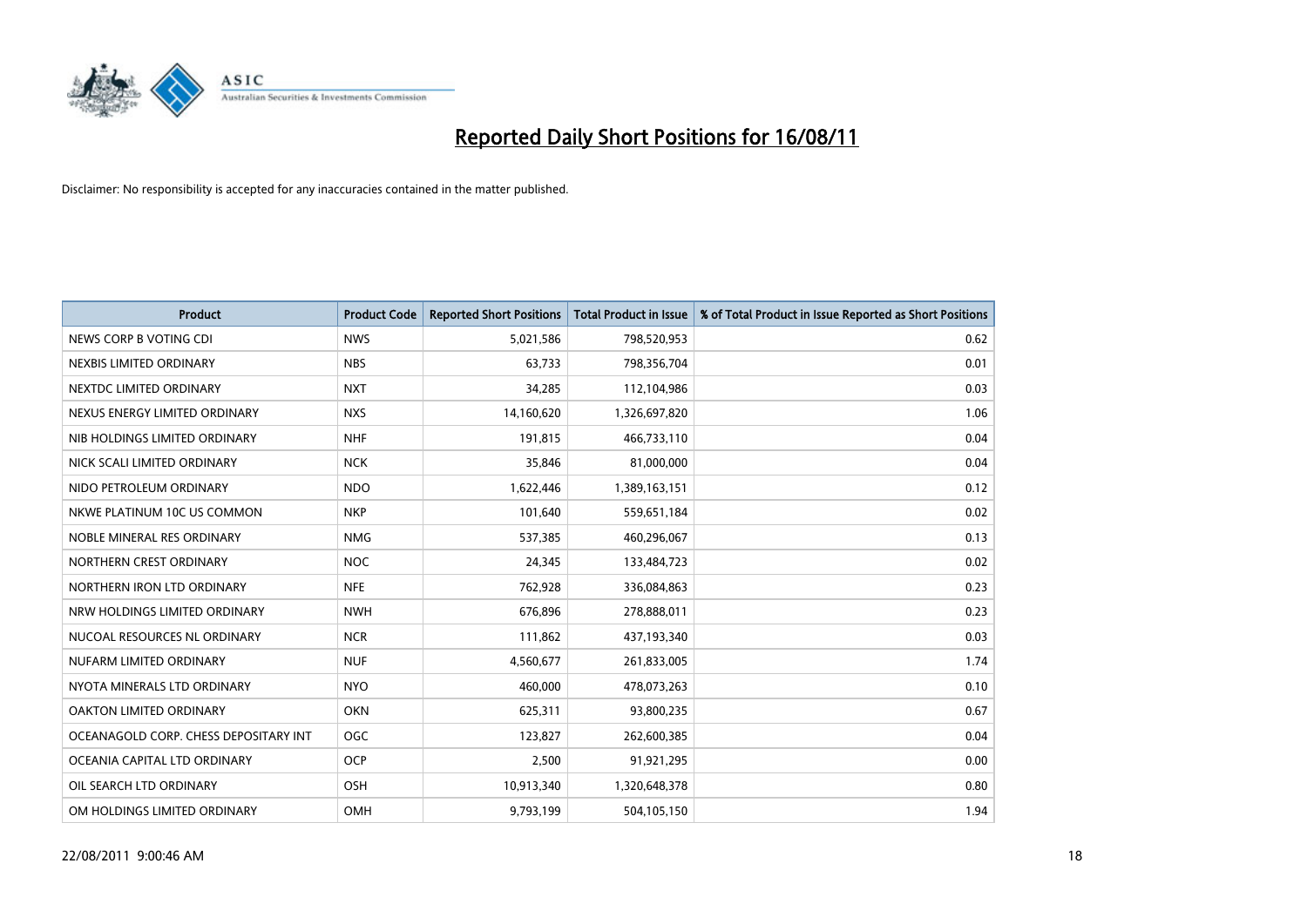

| <b>Product</b>                        | <b>Product Code</b> | <b>Reported Short Positions</b> | <b>Total Product in Issue</b> | % of Total Product in Issue Reported as Short Positions |
|---------------------------------------|---------------------|---------------------------------|-------------------------------|---------------------------------------------------------|
| NEWS CORP B VOTING CDI                | <b>NWS</b>          | 5,021,586                       | 798,520,953                   | 0.62                                                    |
| NEXBIS LIMITED ORDINARY               | <b>NBS</b>          | 63,733                          | 798,356,704                   | 0.01                                                    |
| NEXTDC LIMITED ORDINARY               | <b>NXT</b>          | 34,285                          | 112,104,986                   | 0.03                                                    |
| NEXUS ENERGY LIMITED ORDINARY         | <b>NXS</b>          | 14,160,620                      | 1,326,697,820                 | 1.06                                                    |
| NIB HOLDINGS LIMITED ORDINARY         | <b>NHF</b>          | 191,815                         | 466,733,110                   | 0.04                                                    |
| NICK SCALI LIMITED ORDINARY           | <b>NCK</b>          | 35,846                          | 81,000,000                    | 0.04                                                    |
| NIDO PETROLEUM ORDINARY               | <b>NDO</b>          | 1,622,446                       | 1,389,163,151                 | 0.12                                                    |
| NKWE PLATINUM 10C US COMMON           | <b>NKP</b>          | 101,640                         | 559,651,184                   | 0.02                                                    |
| NOBLE MINERAL RES ORDINARY            | <b>NMG</b>          | 537,385                         | 460,296,067                   | 0.13                                                    |
| NORTHERN CREST ORDINARY               | <b>NOC</b>          | 24,345                          | 133,484,723                   | 0.02                                                    |
| NORTHERN IRON LTD ORDINARY            | <b>NFE</b>          | 762,928                         | 336,084,863                   | 0.23                                                    |
| NRW HOLDINGS LIMITED ORDINARY         | <b>NWH</b>          | 676,896                         | 278,888,011                   | 0.23                                                    |
| NUCOAL RESOURCES NL ORDINARY          | <b>NCR</b>          | 111,862                         | 437,193,340                   | 0.03                                                    |
| NUFARM LIMITED ORDINARY               | <b>NUF</b>          | 4,560,677                       | 261,833,005                   | 1.74                                                    |
| NYOTA MINERALS LTD ORDINARY           | <b>NYO</b>          | 460,000                         | 478,073,263                   | 0.10                                                    |
| OAKTON LIMITED ORDINARY               | <b>OKN</b>          | 625,311                         | 93,800,235                    | 0.67                                                    |
| OCEANAGOLD CORP. CHESS DEPOSITARY INT | <b>OGC</b>          | 123,827                         | 262,600,385                   | 0.04                                                    |
| OCEANIA CAPITAL LTD ORDINARY          | <b>OCP</b>          | 2,500                           | 91,921,295                    | 0.00                                                    |
| OIL SEARCH LTD ORDINARY               | <b>OSH</b>          | 10,913,340                      | 1,320,648,378                 | 0.80                                                    |
| OM HOLDINGS LIMITED ORDINARY          | OMH                 | 9,793,199                       | 504,105,150                   | 1.94                                                    |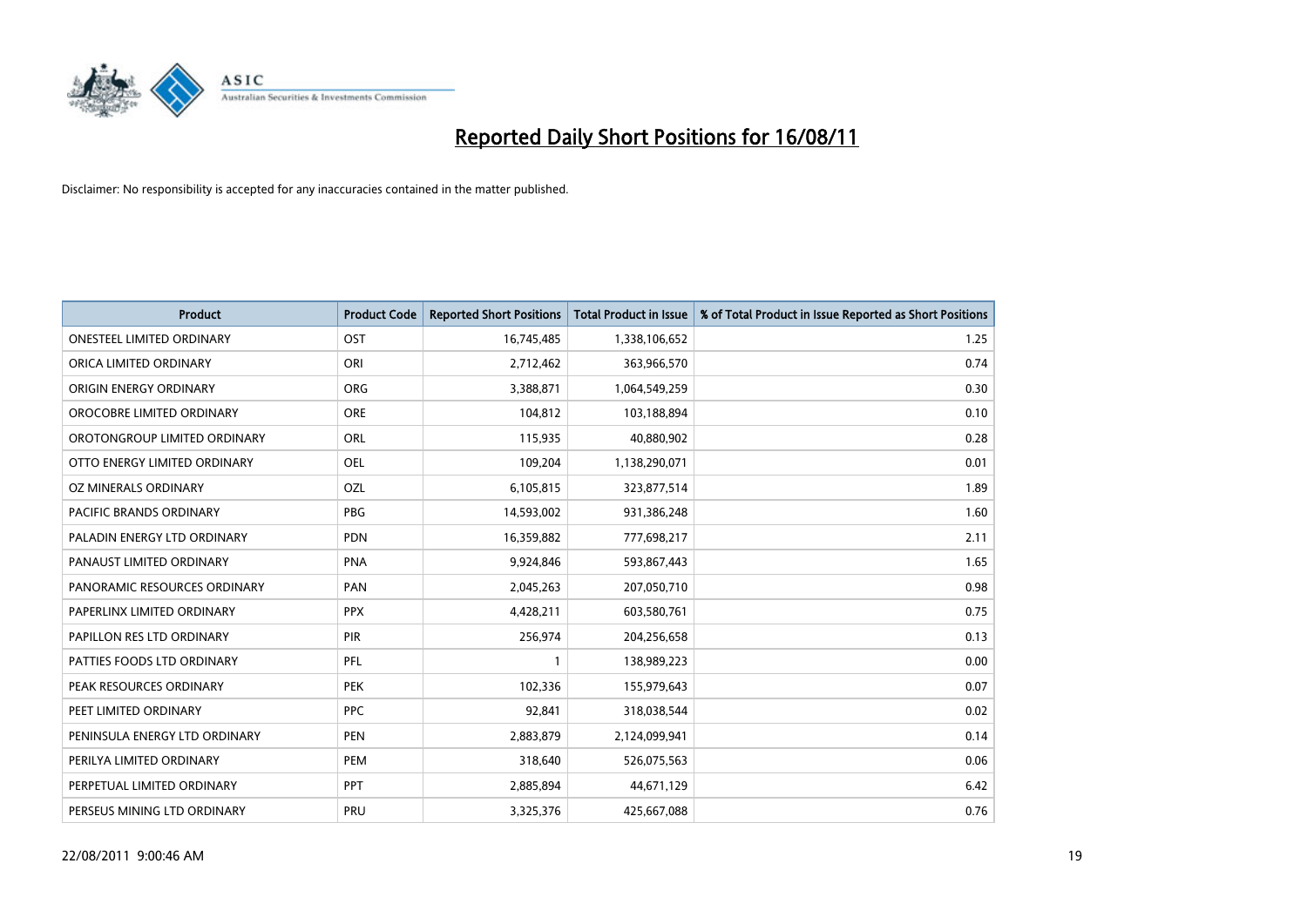

| <b>Product</b>                   | <b>Product Code</b> | <b>Reported Short Positions</b> | Total Product in Issue | % of Total Product in Issue Reported as Short Positions |
|----------------------------------|---------------------|---------------------------------|------------------------|---------------------------------------------------------|
| <b>ONESTEEL LIMITED ORDINARY</b> | OST                 | 16,745,485                      | 1,338,106,652          | 1.25                                                    |
| ORICA LIMITED ORDINARY           | ORI                 | 2,712,462                       | 363,966,570            | 0.74                                                    |
| ORIGIN ENERGY ORDINARY           | ORG                 | 3,388,871                       | 1,064,549,259          | 0.30                                                    |
| OROCOBRE LIMITED ORDINARY        | <b>ORE</b>          | 104,812                         | 103,188,894            | 0.10                                                    |
| OROTONGROUP LIMITED ORDINARY     | ORL                 | 115,935                         | 40,880,902             | 0.28                                                    |
| OTTO ENERGY LIMITED ORDINARY     | OEL                 | 109,204                         | 1,138,290,071          | 0.01                                                    |
| OZ MINERALS ORDINARY             | OZL                 | 6,105,815                       | 323,877,514            | 1.89                                                    |
| PACIFIC BRANDS ORDINARY          | PBG                 | 14,593,002                      | 931,386,248            | 1.60                                                    |
| PALADIN ENERGY LTD ORDINARY      | <b>PDN</b>          | 16,359,882                      | 777,698,217            | 2.11                                                    |
| PANAUST LIMITED ORDINARY         | <b>PNA</b>          | 9,924,846                       | 593,867,443            | 1.65                                                    |
| PANORAMIC RESOURCES ORDINARY     | PAN                 | 2,045,263                       | 207,050,710            | 0.98                                                    |
| PAPERLINX LIMITED ORDINARY       | <b>PPX</b>          | 4,428,211                       | 603,580,761            | 0.75                                                    |
| PAPILLON RES LTD ORDINARY        | PIR                 | 256,974                         | 204,256,658            | 0.13                                                    |
| PATTIES FOODS LTD ORDINARY       | PFL                 |                                 | 138,989,223            | 0.00                                                    |
| PEAK RESOURCES ORDINARY          | <b>PEK</b>          | 102,336                         | 155,979,643            | 0.07                                                    |
| PEET LIMITED ORDINARY            | <b>PPC</b>          | 92,841                          | 318,038,544            | 0.02                                                    |
| PENINSULA ENERGY LTD ORDINARY    | <b>PEN</b>          | 2,883,879                       | 2,124,099,941          | 0.14                                                    |
| PERILYA LIMITED ORDINARY         | PEM                 | 318,640                         | 526,075,563            | 0.06                                                    |
| PERPETUAL LIMITED ORDINARY       | PPT                 | 2,885,894                       | 44,671,129             | 6.42                                                    |
| PERSEUS MINING LTD ORDINARY      | <b>PRU</b>          | 3,325,376                       | 425,667,088            | 0.76                                                    |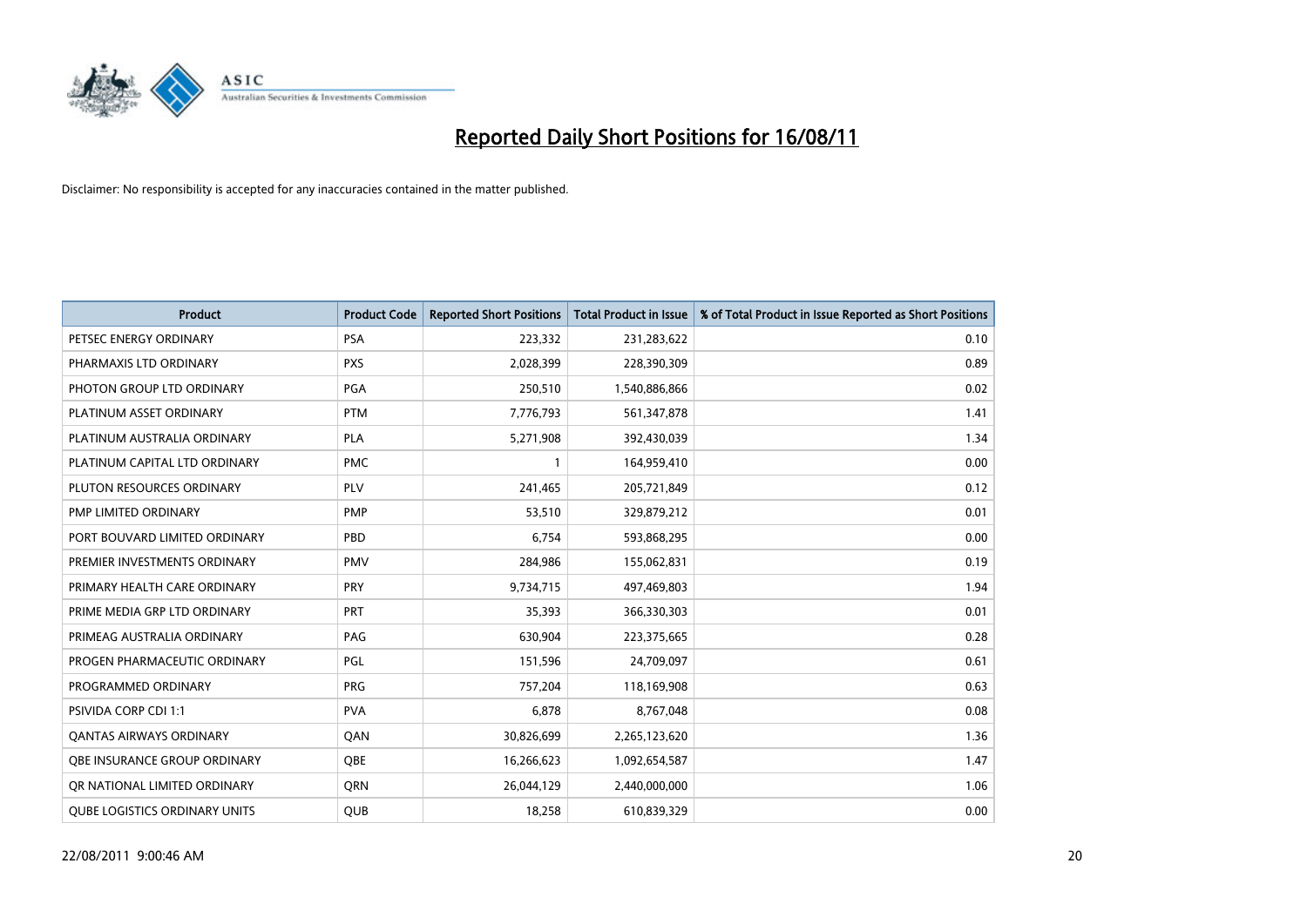

| <b>Product</b>                       | <b>Product Code</b> | <b>Reported Short Positions</b> | Total Product in Issue | % of Total Product in Issue Reported as Short Positions |
|--------------------------------------|---------------------|---------------------------------|------------------------|---------------------------------------------------------|
| PETSEC ENERGY ORDINARY               | <b>PSA</b>          | 223,332                         | 231,283,622            | 0.10                                                    |
| PHARMAXIS LTD ORDINARY               | <b>PXS</b>          | 2,028,399                       | 228,390,309            | 0.89                                                    |
| PHOTON GROUP LTD ORDINARY            | PGA                 | 250,510                         | 1,540,886,866          | 0.02                                                    |
| PLATINUM ASSET ORDINARY              | <b>PTM</b>          | 7,776,793                       | 561,347,878            | 1.41                                                    |
| PLATINUM AUSTRALIA ORDINARY          | PLA                 | 5,271,908                       | 392,430,039            | 1.34                                                    |
| PLATINUM CAPITAL LTD ORDINARY        | <b>PMC</b>          |                                 | 164,959,410            | 0.00                                                    |
| PLUTON RESOURCES ORDINARY            | PLV                 | 241,465                         | 205,721,849            | 0.12                                                    |
| PMP LIMITED ORDINARY                 | <b>PMP</b>          | 53,510                          | 329,879,212            | 0.01                                                    |
| PORT BOUVARD LIMITED ORDINARY        | PBD                 | 6,754                           | 593,868,295            | 0.00                                                    |
| PREMIER INVESTMENTS ORDINARY         | <b>PMV</b>          | 284,986                         | 155,062,831            | 0.19                                                    |
| PRIMARY HEALTH CARE ORDINARY         | <b>PRY</b>          | 9,734,715                       | 497,469,803            | 1.94                                                    |
| PRIME MEDIA GRP LTD ORDINARY         | PRT                 | 35,393                          | 366,330,303            | 0.01                                                    |
| PRIMEAG AUSTRALIA ORDINARY           | PAG                 | 630,904                         | 223,375,665            | 0.28                                                    |
| PROGEN PHARMACEUTIC ORDINARY         | PGL                 | 151,596                         | 24,709,097             | 0.61                                                    |
| PROGRAMMED ORDINARY                  | <b>PRG</b>          | 757,204                         | 118,169,908            | 0.63                                                    |
| <b>PSIVIDA CORP CDI 1:1</b>          | <b>PVA</b>          | 6,878                           | 8,767,048              | 0.08                                                    |
| <b>QANTAS AIRWAYS ORDINARY</b>       | QAN                 | 30,826,699                      | 2,265,123,620          | 1.36                                                    |
| <b>OBE INSURANCE GROUP ORDINARY</b>  | <b>QBE</b>          | 16,266,623                      | 1,092,654,587          | 1.47                                                    |
| OR NATIONAL LIMITED ORDINARY         | <b>ORN</b>          | 26,044,129                      | 2,440,000,000          | 1.06                                                    |
| <b>QUBE LOGISTICS ORDINARY UNITS</b> | <b>QUB</b>          | 18,258                          | 610,839,329            | 0.00                                                    |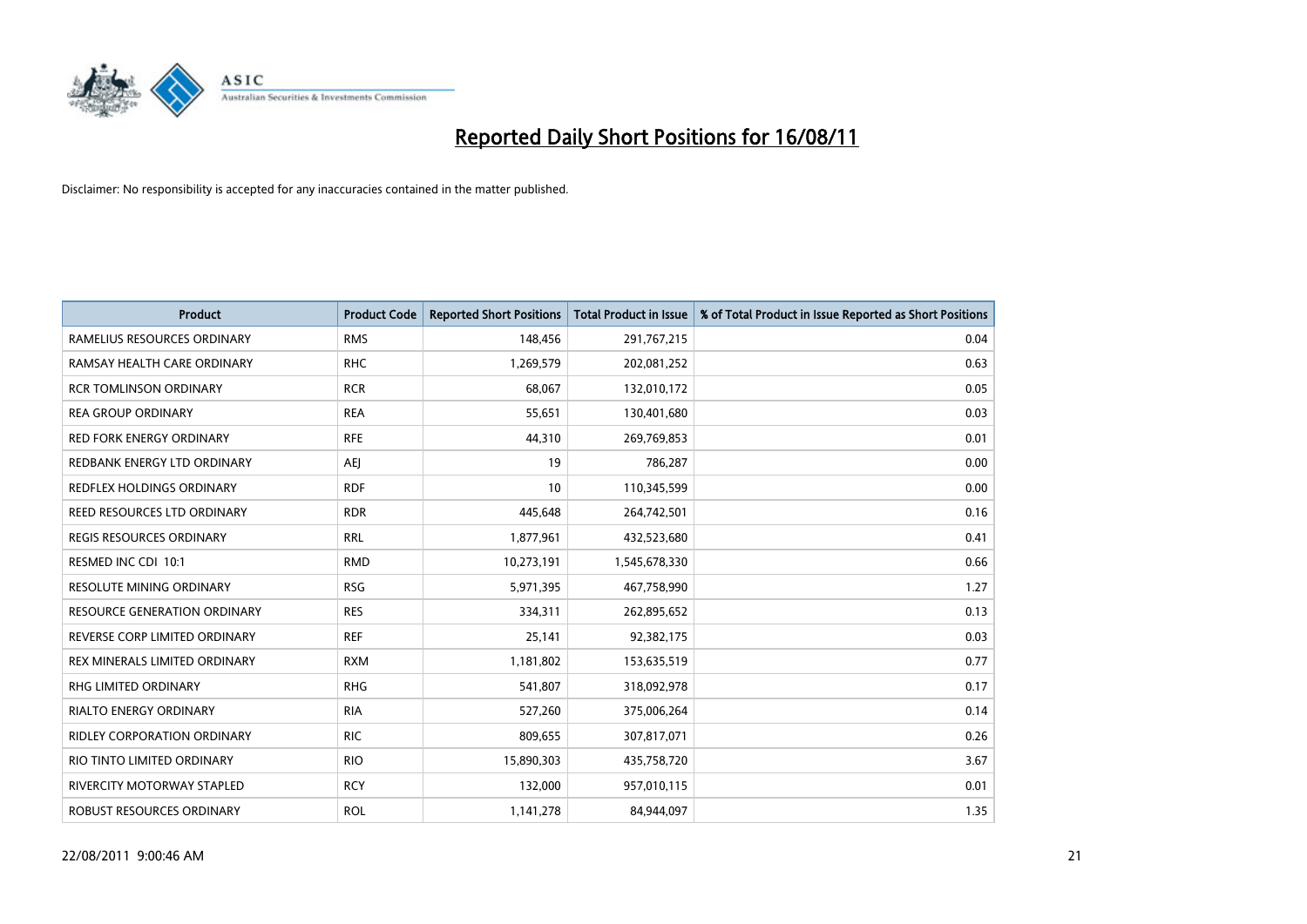

| <b>Product</b>                      | <b>Product Code</b> | <b>Reported Short Positions</b> | Total Product in Issue | % of Total Product in Issue Reported as Short Positions |
|-------------------------------------|---------------------|---------------------------------|------------------------|---------------------------------------------------------|
| RAMELIUS RESOURCES ORDINARY         | <b>RMS</b>          | 148,456                         | 291,767,215            | 0.04                                                    |
| RAMSAY HEALTH CARE ORDINARY         | <b>RHC</b>          | 1,269,579                       | 202,081,252            | 0.63                                                    |
| <b>RCR TOMLINSON ORDINARY</b>       | <b>RCR</b>          | 68.067                          | 132,010,172            | 0.05                                                    |
| <b>REA GROUP ORDINARY</b>           | <b>REA</b>          | 55,651                          | 130,401,680            | 0.03                                                    |
| <b>RED FORK ENERGY ORDINARY</b>     | <b>RFE</b>          | 44,310                          | 269,769,853            | 0.01                                                    |
| REDBANK ENERGY LTD ORDINARY         | <b>AEI</b>          | 19                              | 786,287                | 0.00                                                    |
| REDFLEX HOLDINGS ORDINARY           | <b>RDF</b>          | 10                              | 110,345,599            | 0.00                                                    |
| REED RESOURCES LTD ORDINARY         | <b>RDR</b>          | 445,648                         | 264,742,501            | 0.16                                                    |
| <b>REGIS RESOURCES ORDINARY</b>     | <b>RRL</b>          | 1,877,961                       | 432,523,680            | 0.41                                                    |
| RESMED INC CDI 10:1                 | <b>RMD</b>          | 10,273,191                      | 1,545,678,330          | 0.66                                                    |
| RESOLUTE MINING ORDINARY            | <b>RSG</b>          | 5,971,395                       | 467,758,990            | 1.27                                                    |
| <b>RESOURCE GENERATION ORDINARY</b> | <b>RES</b>          | 334,311                         | 262,895,652            | 0.13                                                    |
| REVERSE CORP LIMITED ORDINARY       | <b>REF</b>          | 25,141                          | 92,382,175             | 0.03                                                    |
| REX MINERALS LIMITED ORDINARY       | <b>RXM</b>          | 1,181,802                       | 153,635,519            | 0.77                                                    |
| <b>RHG LIMITED ORDINARY</b>         | <b>RHG</b>          | 541,807                         | 318,092,978            | 0.17                                                    |
| RIALTO ENERGY ORDINARY              | <b>RIA</b>          | 527,260                         | 375,006,264            | 0.14                                                    |
| RIDLEY CORPORATION ORDINARY         | <b>RIC</b>          | 809,655                         | 307,817,071            | 0.26                                                    |
| RIO TINTO LIMITED ORDINARY          | <b>RIO</b>          | 15,890,303                      | 435,758,720            | 3.67                                                    |
| <b>RIVERCITY MOTORWAY STAPLED</b>   | <b>RCY</b>          | 132,000                         | 957,010,115            | 0.01                                                    |
| ROBUST RESOURCES ORDINARY           | <b>ROL</b>          | 1,141,278                       | 84,944,097             | 1.35                                                    |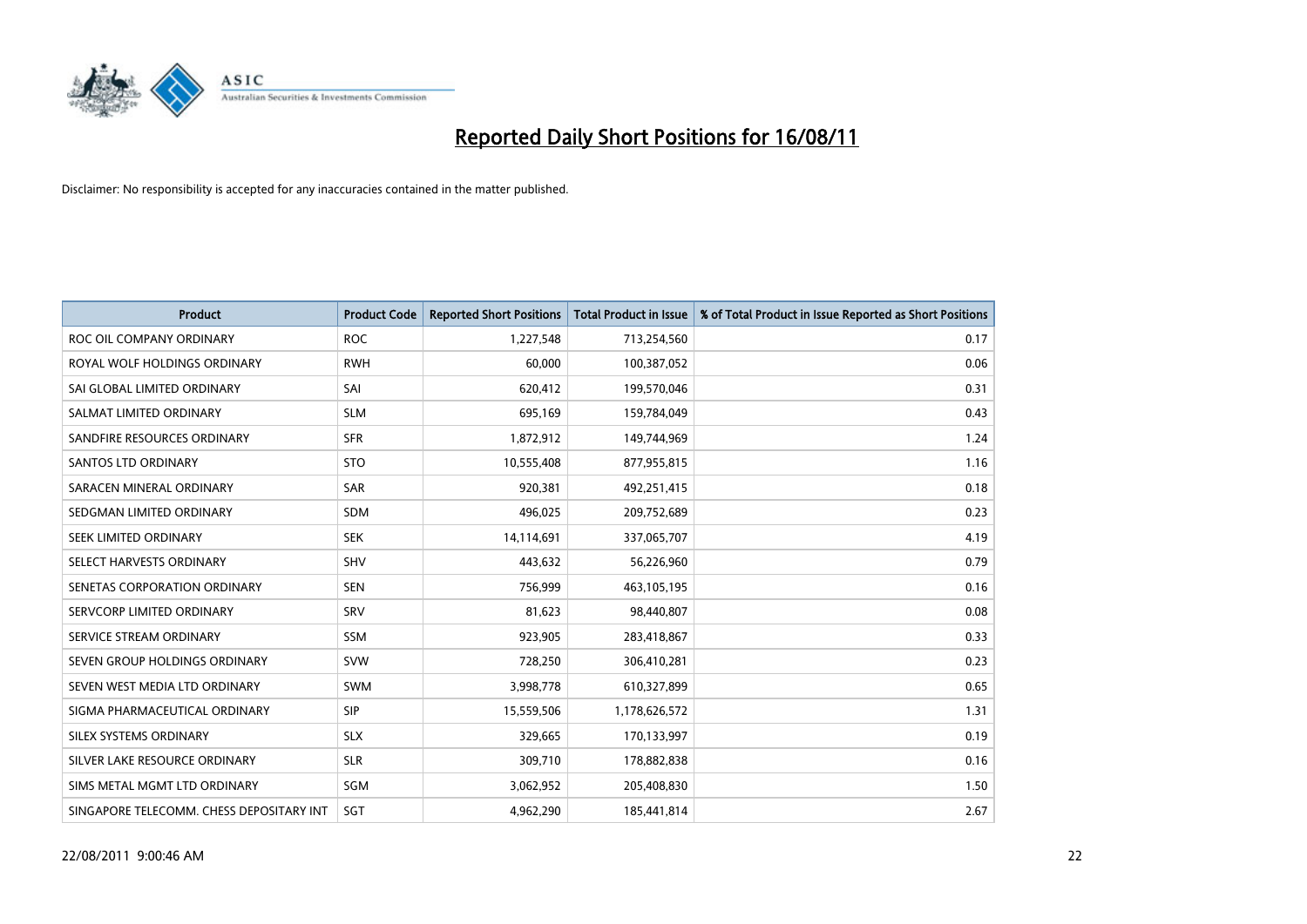

| <b>Product</b>                           | <b>Product Code</b> | <b>Reported Short Positions</b> | <b>Total Product in Issue</b> | % of Total Product in Issue Reported as Short Positions |
|------------------------------------------|---------------------|---------------------------------|-------------------------------|---------------------------------------------------------|
| ROC OIL COMPANY ORDINARY                 | <b>ROC</b>          | 1,227,548                       | 713,254,560                   | 0.17                                                    |
| ROYAL WOLF HOLDINGS ORDINARY             | <b>RWH</b>          | 60,000                          | 100,387,052                   | 0.06                                                    |
| SAI GLOBAL LIMITED ORDINARY              | SAI                 | 620,412                         | 199,570,046                   | 0.31                                                    |
| SALMAT LIMITED ORDINARY                  | <b>SLM</b>          | 695,169                         | 159,784,049                   | 0.43                                                    |
| SANDFIRE RESOURCES ORDINARY              | <b>SFR</b>          | 1,872,912                       | 149,744,969                   | 1.24                                                    |
| <b>SANTOS LTD ORDINARY</b>               | <b>STO</b>          | 10,555,408                      | 877,955,815                   | 1.16                                                    |
| SARACEN MINERAL ORDINARY                 | <b>SAR</b>          | 920,381                         | 492,251,415                   | 0.18                                                    |
| SEDGMAN LIMITED ORDINARY                 | <b>SDM</b>          | 496,025                         | 209,752,689                   | 0.23                                                    |
| SEEK LIMITED ORDINARY                    | <b>SEK</b>          | 14,114,691                      | 337,065,707                   | 4.19                                                    |
| SELECT HARVESTS ORDINARY                 | <b>SHV</b>          | 443,632                         | 56,226,960                    | 0.79                                                    |
| SENETAS CORPORATION ORDINARY             | <b>SEN</b>          | 756,999                         | 463,105,195                   | 0.16                                                    |
| SERVCORP LIMITED ORDINARY                | SRV                 | 81,623                          | 98,440,807                    | 0.08                                                    |
| SERVICE STREAM ORDINARY                  | <b>SSM</b>          | 923,905                         | 283,418,867                   | 0.33                                                    |
| SEVEN GROUP HOLDINGS ORDINARY            | <b>SVW</b>          | 728,250                         | 306,410,281                   | 0.23                                                    |
| SEVEN WEST MEDIA LTD ORDINARY            | <b>SWM</b>          | 3,998,778                       | 610,327,899                   | 0.65                                                    |
| SIGMA PHARMACEUTICAL ORDINARY            | SIP                 | 15,559,506                      | 1,178,626,572                 | 1.31                                                    |
| SILEX SYSTEMS ORDINARY                   | <b>SLX</b>          | 329,665                         | 170,133,997                   | 0.19                                                    |
| SILVER LAKE RESOURCE ORDINARY            | <b>SLR</b>          | 309,710                         | 178,882,838                   | 0.16                                                    |
| SIMS METAL MGMT LTD ORDINARY             | SGM                 | 3,062,952                       | 205,408,830                   | 1.50                                                    |
| SINGAPORE TELECOMM. CHESS DEPOSITARY INT | SGT                 | 4,962,290                       | 185,441,814                   | 2.67                                                    |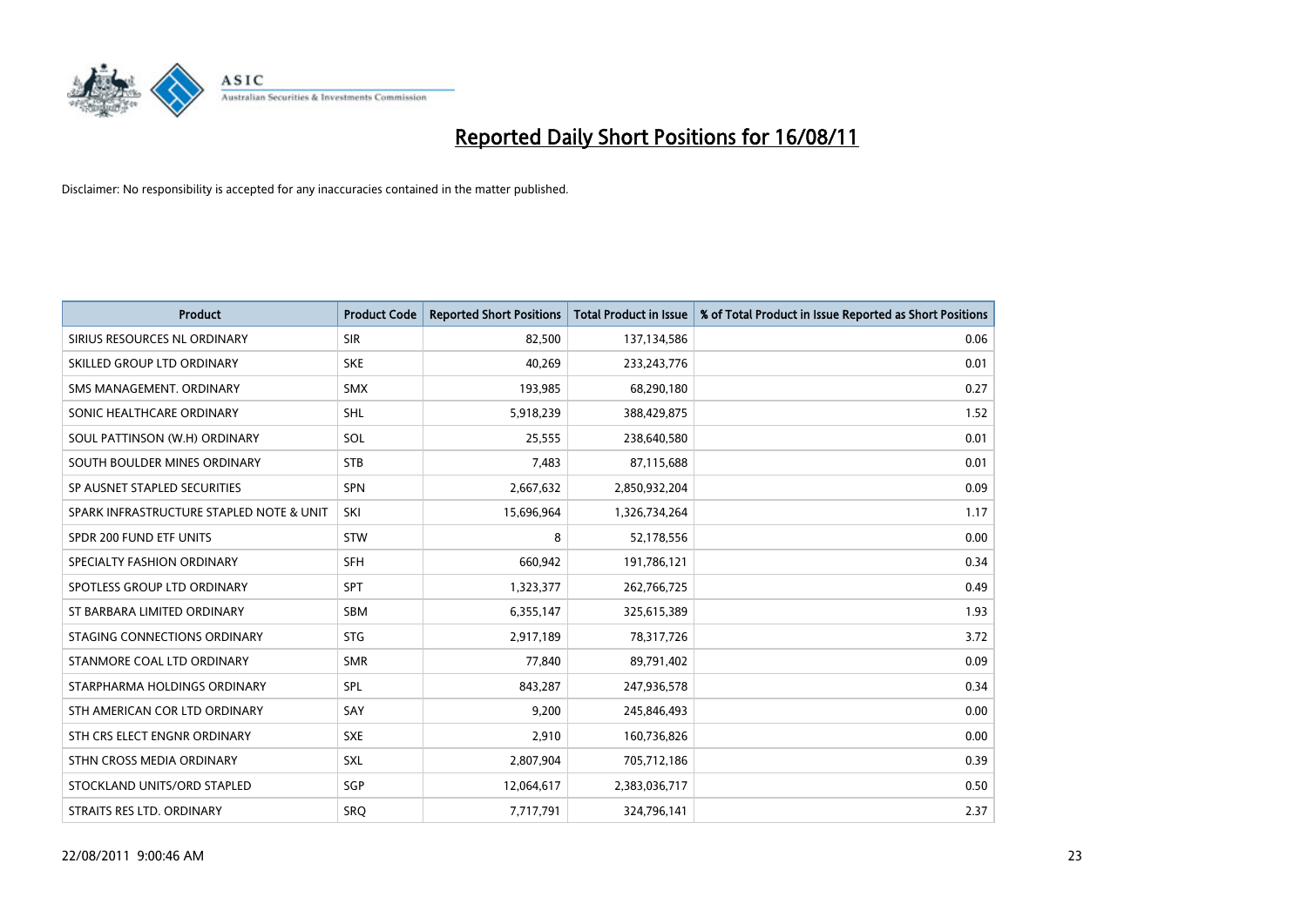

| <b>Product</b>                           | <b>Product Code</b> | <b>Reported Short Positions</b> | <b>Total Product in Issue</b> | % of Total Product in Issue Reported as Short Positions |
|------------------------------------------|---------------------|---------------------------------|-------------------------------|---------------------------------------------------------|
| SIRIUS RESOURCES NL ORDINARY             | <b>SIR</b>          | 82,500                          | 137,134,586                   | 0.06                                                    |
| SKILLED GROUP LTD ORDINARY               | <b>SKE</b>          | 40,269                          | 233, 243, 776                 | 0.01                                                    |
| SMS MANAGEMENT. ORDINARY                 | <b>SMX</b>          | 193,985                         | 68,290,180                    | 0.27                                                    |
| SONIC HEALTHCARE ORDINARY                | <b>SHL</b>          | 5,918,239                       | 388,429,875                   | 1.52                                                    |
| SOUL PATTINSON (W.H) ORDINARY            | SOL                 | 25,555                          | 238,640,580                   | 0.01                                                    |
| SOUTH BOULDER MINES ORDINARY             | <b>STB</b>          | 7,483                           | 87,115,688                    | 0.01                                                    |
| SP AUSNET STAPLED SECURITIES             | <b>SPN</b>          | 2,667,632                       | 2,850,932,204                 | 0.09                                                    |
| SPARK INFRASTRUCTURE STAPLED NOTE & UNIT | SKI                 | 15,696,964                      | 1,326,734,264                 | 1.17                                                    |
| SPDR 200 FUND ETF UNITS                  | <b>STW</b>          | 8                               | 52,178,556                    | 0.00                                                    |
| SPECIALTY FASHION ORDINARY               | <b>SFH</b>          | 660,942                         | 191,786,121                   | 0.34                                                    |
| SPOTLESS GROUP LTD ORDINARY              | <b>SPT</b>          | 1,323,377                       | 262,766,725                   | 0.49                                                    |
| ST BARBARA LIMITED ORDINARY              | <b>SBM</b>          | 6,355,147                       | 325,615,389                   | 1.93                                                    |
| STAGING CONNECTIONS ORDINARY             | <b>STG</b>          | 2,917,189                       | 78,317,726                    | 3.72                                                    |
| STANMORE COAL LTD ORDINARY               | <b>SMR</b>          | 77,840                          | 89,791,402                    | 0.09                                                    |
| STARPHARMA HOLDINGS ORDINARY             | SPL                 | 843,287                         | 247,936,578                   | 0.34                                                    |
| STH AMERICAN COR LTD ORDINARY            | SAY                 | 9,200                           | 245,846,493                   | 0.00                                                    |
| STH CRS ELECT ENGNR ORDINARY             | <b>SXE</b>          | 2,910                           | 160,736,826                   | 0.00                                                    |
| STHN CROSS MEDIA ORDINARY                | SXL                 | 2,807,904                       | 705,712,186                   | 0.39                                                    |
| STOCKLAND UNITS/ORD STAPLED              | SGP                 | 12,064,617                      | 2,383,036,717                 | 0.50                                                    |
| STRAITS RES LTD. ORDINARY                | <b>SRQ</b>          | 7,717,791                       | 324,796,141                   | 2.37                                                    |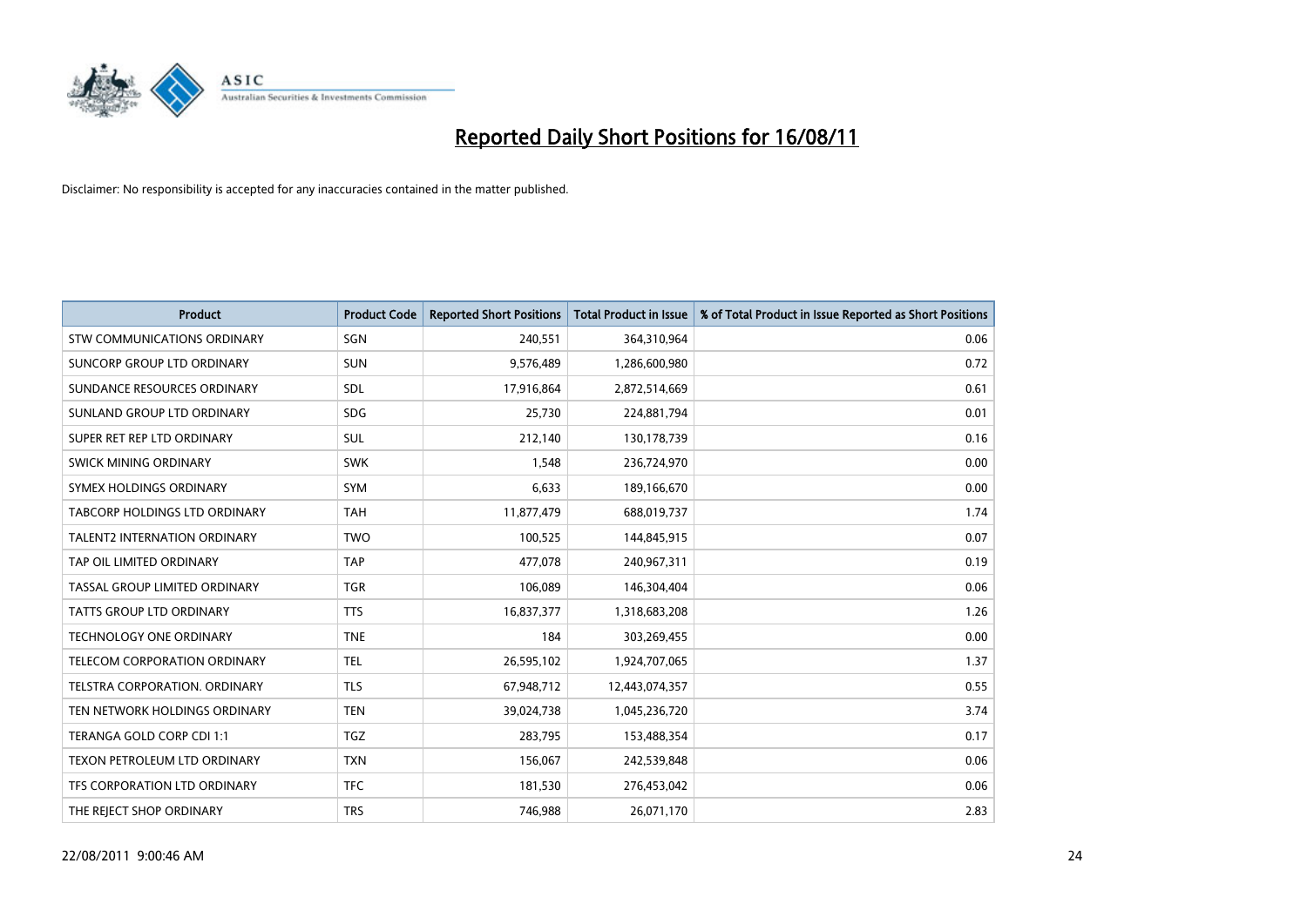

| <b>Product</b>                      | <b>Product Code</b> | <b>Reported Short Positions</b> | Total Product in Issue | % of Total Product in Issue Reported as Short Positions |
|-------------------------------------|---------------------|---------------------------------|------------------------|---------------------------------------------------------|
| <b>STW COMMUNICATIONS ORDINARY</b>  | SGN                 | 240,551                         | 364,310,964            | 0.06                                                    |
| SUNCORP GROUP LTD ORDINARY          | <b>SUN</b>          | 9,576,489                       | 1,286,600,980          | 0.72                                                    |
| SUNDANCE RESOURCES ORDINARY         | <b>SDL</b>          | 17,916,864                      | 2,872,514,669          | 0.61                                                    |
| SUNLAND GROUP LTD ORDINARY          | <b>SDG</b>          | 25,730                          | 224,881,794            | 0.01                                                    |
| SUPER RET REP LTD ORDINARY          | SUL                 | 212,140                         | 130,178,739            | 0.16                                                    |
| SWICK MINING ORDINARY               | <b>SWK</b>          | 1,548                           | 236,724,970            | 0.00                                                    |
| SYMEX HOLDINGS ORDINARY             | <b>SYM</b>          | 6,633                           | 189,166,670            | 0.00                                                    |
| TABCORP HOLDINGS LTD ORDINARY       | <b>TAH</b>          | 11,877,479                      | 688,019,737            | 1.74                                                    |
| <b>TALENT2 INTERNATION ORDINARY</b> | <b>TWO</b>          | 100,525                         | 144,845,915            | 0.07                                                    |
| TAP OIL LIMITED ORDINARY            | <b>TAP</b>          | 477,078                         | 240,967,311            | 0.19                                                    |
| TASSAL GROUP LIMITED ORDINARY       | <b>TGR</b>          | 106,089                         | 146,304,404            | 0.06                                                    |
| <b>TATTS GROUP LTD ORDINARY</b>     | <b>TTS</b>          | 16,837,377                      | 1,318,683,208          | 1.26                                                    |
| <b>TECHNOLOGY ONE ORDINARY</b>      | <b>TNE</b>          | 184                             | 303,269,455            | 0.00                                                    |
| TELECOM CORPORATION ORDINARY        | <b>TEL</b>          | 26,595,102                      | 1,924,707,065          | 1.37                                                    |
| TELSTRA CORPORATION. ORDINARY       | <b>TLS</b>          | 67,948,712                      | 12,443,074,357         | 0.55                                                    |
| TEN NETWORK HOLDINGS ORDINARY       | <b>TEN</b>          | 39,024,738                      | 1,045,236,720          | 3.74                                                    |
| TERANGA GOLD CORP CDI 1:1           | <b>TGZ</b>          | 283,795                         | 153,488,354            | 0.17                                                    |
| TEXON PETROLEUM LTD ORDINARY        | <b>TXN</b>          | 156,067                         | 242,539,848            | 0.06                                                    |
| TFS CORPORATION LTD ORDINARY        | <b>TFC</b>          | 181,530                         | 276,453,042            | 0.06                                                    |
| THE REJECT SHOP ORDINARY            | <b>TRS</b>          | 746,988                         | 26,071,170             | 2.83                                                    |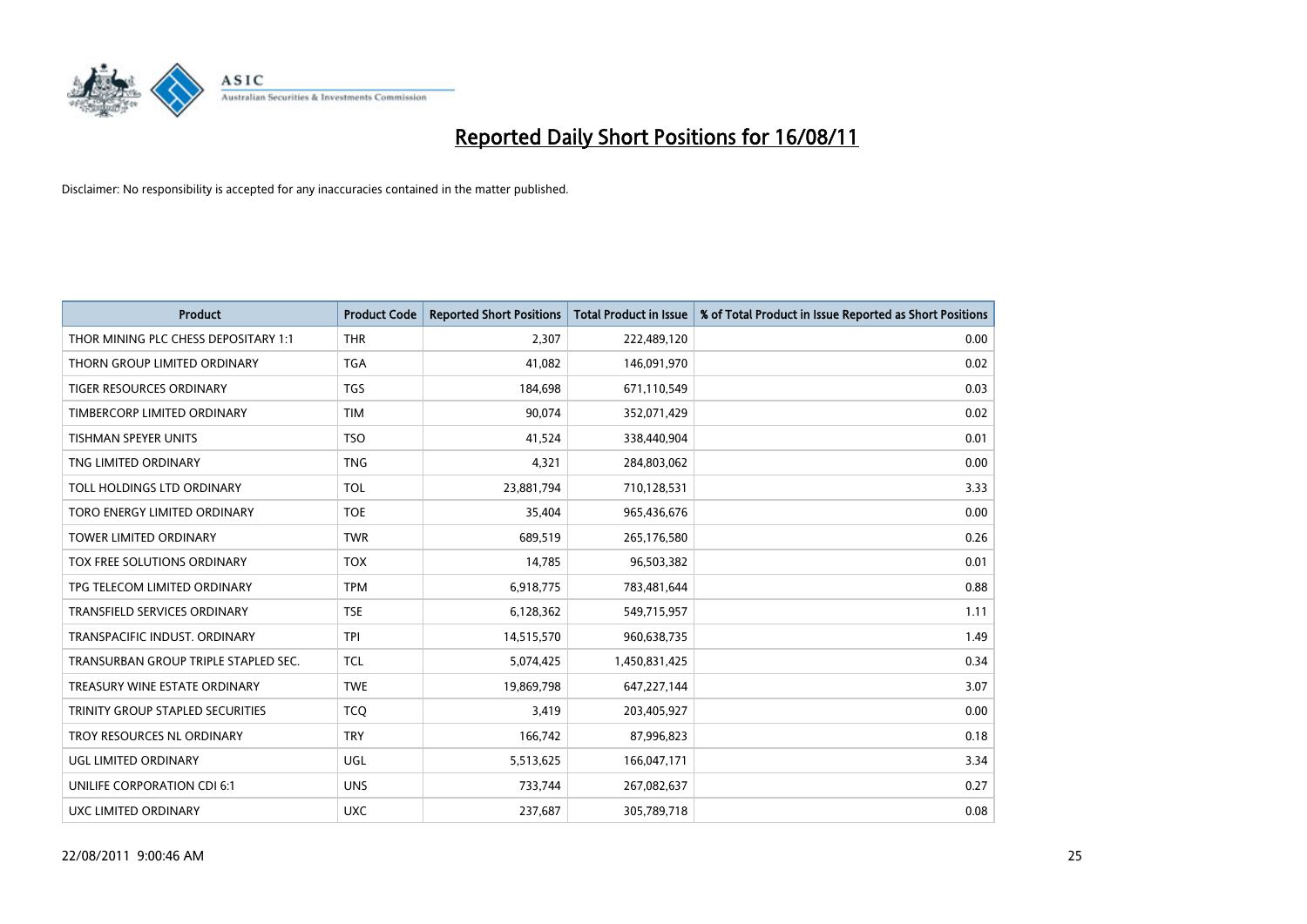

| <b>Product</b>                       | <b>Product Code</b> | <b>Reported Short Positions</b> | <b>Total Product in Issue</b> | % of Total Product in Issue Reported as Short Positions |
|--------------------------------------|---------------------|---------------------------------|-------------------------------|---------------------------------------------------------|
| THOR MINING PLC CHESS DEPOSITARY 1:1 | <b>THR</b>          | 2,307                           | 222,489,120                   | 0.00                                                    |
| THORN GROUP LIMITED ORDINARY         | <b>TGA</b>          | 41,082                          | 146,091,970                   | 0.02                                                    |
| <b>TIGER RESOURCES ORDINARY</b>      | <b>TGS</b>          | 184,698                         | 671,110,549                   | 0.03                                                    |
| TIMBERCORP LIMITED ORDINARY          | <b>TIM</b>          | 90,074                          | 352,071,429                   | 0.02                                                    |
| <b>TISHMAN SPEYER UNITS</b>          | <b>TSO</b>          | 41,524                          | 338,440,904                   | 0.01                                                    |
| TNG LIMITED ORDINARY                 | <b>TNG</b>          | 4,321                           | 284,803,062                   | 0.00                                                    |
| TOLL HOLDINGS LTD ORDINARY           | <b>TOL</b>          | 23,881,794                      | 710,128,531                   | 3.33                                                    |
| TORO ENERGY LIMITED ORDINARY         | <b>TOE</b>          | 35,404                          | 965,436,676                   | 0.00                                                    |
| <b>TOWER LIMITED ORDINARY</b>        | <b>TWR</b>          | 689,519                         | 265,176,580                   | 0.26                                                    |
| <b>TOX FREE SOLUTIONS ORDINARY</b>   | <b>TOX</b>          | 14,785                          | 96,503,382                    | 0.01                                                    |
| TPG TELECOM LIMITED ORDINARY         | <b>TPM</b>          | 6,918,775                       | 783,481,644                   | 0.88                                                    |
| <b>TRANSFIELD SERVICES ORDINARY</b>  | <b>TSE</b>          | 6,128,362                       | 549,715,957                   | 1.11                                                    |
| TRANSPACIFIC INDUST. ORDINARY        | <b>TPI</b>          | 14,515,570                      | 960,638,735                   | 1.49                                                    |
| TRANSURBAN GROUP TRIPLE STAPLED SEC. | <b>TCL</b>          | 5,074,425                       | 1,450,831,425                 | 0.34                                                    |
| TREASURY WINE ESTATE ORDINARY        | <b>TWE</b>          | 19,869,798                      | 647,227,144                   | 3.07                                                    |
| TRINITY GROUP STAPLED SECURITIES     | <b>TCO</b>          | 3,419                           | 203,405,927                   | 0.00                                                    |
| TROY RESOURCES NL ORDINARY           | <b>TRY</b>          | 166,742                         | 87,996,823                    | 0.18                                                    |
| UGL LIMITED ORDINARY                 | UGL                 | 5,513,625                       | 166,047,171                   | 3.34                                                    |
| UNILIFE CORPORATION CDI 6:1          | <b>UNS</b>          | 733,744                         | 267,082,637                   | 0.27                                                    |
| UXC LIMITED ORDINARY                 | <b>UXC</b>          | 237,687                         | 305,789,718                   | 0.08                                                    |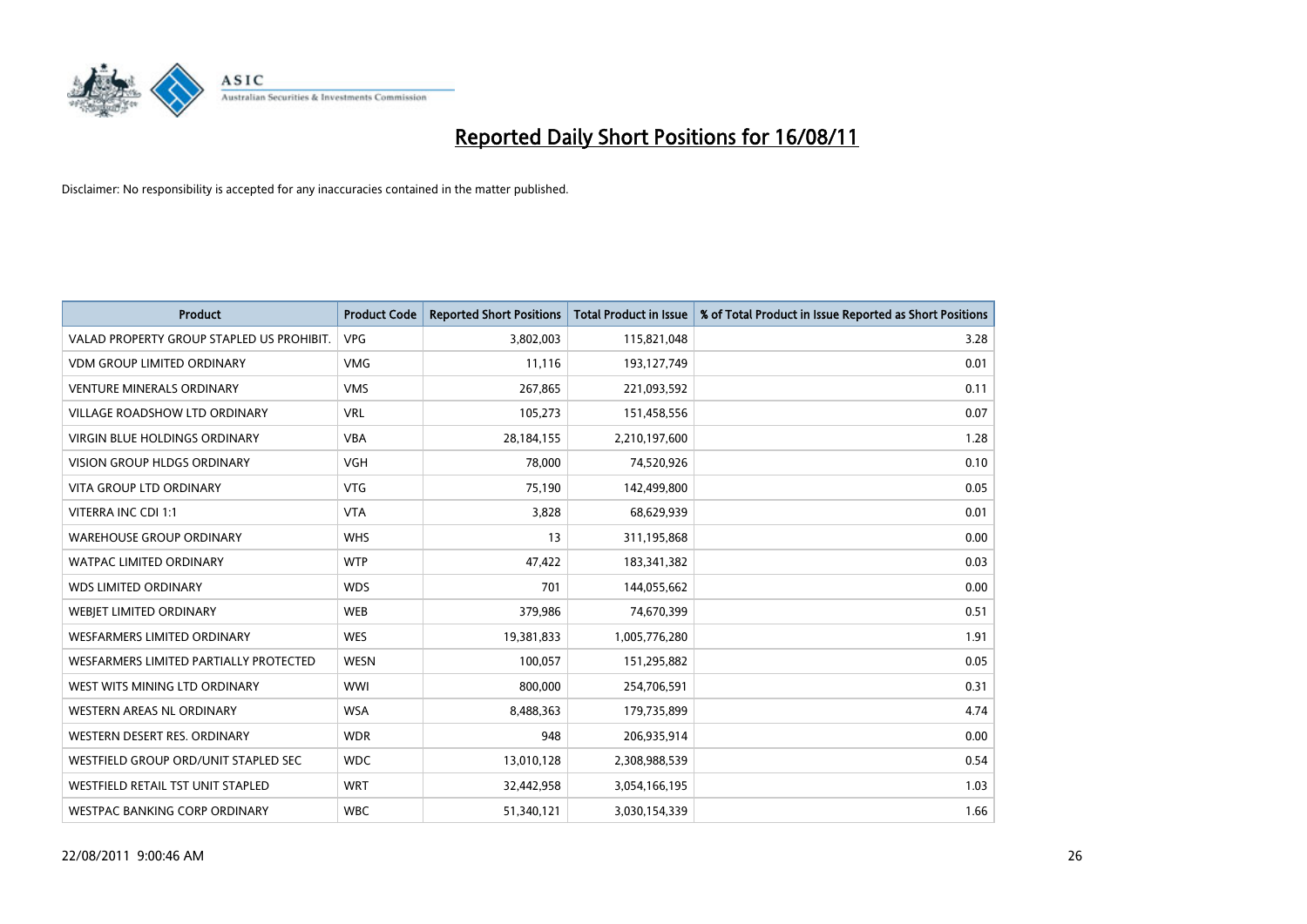

| <b>Product</b>                            | <b>Product Code</b> | <b>Reported Short Positions</b> | <b>Total Product in Issue</b> | % of Total Product in Issue Reported as Short Positions |
|-------------------------------------------|---------------------|---------------------------------|-------------------------------|---------------------------------------------------------|
| VALAD PROPERTY GROUP STAPLED US PROHIBIT. | <b>VPG</b>          | 3,802,003                       | 115,821,048                   | 3.28                                                    |
| <b>VDM GROUP LIMITED ORDINARY</b>         | <b>VMG</b>          | 11,116                          | 193,127,749                   | 0.01                                                    |
| <b>VENTURE MINERALS ORDINARY</b>          | <b>VMS</b>          | 267,865                         | 221,093,592                   | 0.11                                                    |
| VILLAGE ROADSHOW LTD ORDINARY             | <b>VRL</b>          | 105,273                         | 151,458,556                   | 0.07                                                    |
| <b>VIRGIN BLUE HOLDINGS ORDINARY</b>      | <b>VBA</b>          | 28,184,155                      | 2,210,197,600                 | 1.28                                                    |
| <b>VISION GROUP HLDGS ORDINARY</b>        | <b>VGH</b>          | 78,000                          | 74,520,926                    | 0.10                                                    |
| <b>VITA GROUP LTD ORDINARY</b>            | <b>VTG</b>          | 75,190                          | 142,499,800                   | 0.05                                                    |
| VITERRA INC CDI 1:1                       | <b>VTA</b>          | 3,828                           | 68,629,939                    | 0.01                                                    |
| <b>WAREHOUSE GROUP ORDINARY</b>           | <b>WHS</b>          | 13                              | 311,195,868                   | 0.00                                                    |
| <b>WATPAC LIMITED ORDINARY</b>            | <b>WTP</b>          | 47,422                          | 183,341,382                   | 0.03                                                    |
| <b>WDS LIMITED ORDINARY</b>               | <b>WDS</b>          | 701                             | 144,055,662                   | 0.00                                                    |
| WEBIET LIMITED ORDINARY                   | <b>WEB</b>          | 379,986                         | 74,670,399                    | 0.51                                                    |
| <b>WESFARMERS LIMITED ORDINARY</b>        | <b>WES</b>          | 19,381,833                      | 1,005,776,280                 | 1.91                                                    |
| WESFARMERS LIMITED PARTIALLY PROTECTED    | <b>WESN</b>         | 100,057                         | 151,295,882                   | 0.05                                                    |
| WEST WITS MINING LTD ORDINARY             | <b>WWI</b>          | 800,000                         | 254,706,591                   | 0.31                                                    |
| <b>WESTERN AREAS NL ORDINARY</b>          | <b>WSA</b>          | 8,488,363                       | 179,735,899                   | 4.74                                                    |
| WESTERN DESERT RES. ORDINARY              | <b>WDR</b>          | 948                             | 206,935,914                   | 0.00                                                    |
| WESTFIELD GROUP ORD/UNIT STAPLED SEC      | <b>WDC</b>          | 13,010,128                      | 2,308,988,539                 | 0.54                                                    |
| WESTFIELD RETAIL TST UNIT STAPLED         | <b>WRT</b>          | 32,442,958                      | 3,054,166,195                 | 1.03                                                    |
| WESTPAC BANKING CORP ORDINARY             | <b>WBC</b>          | 51,340,121                      | 3,030,154,339                 | 1.66                                                    |